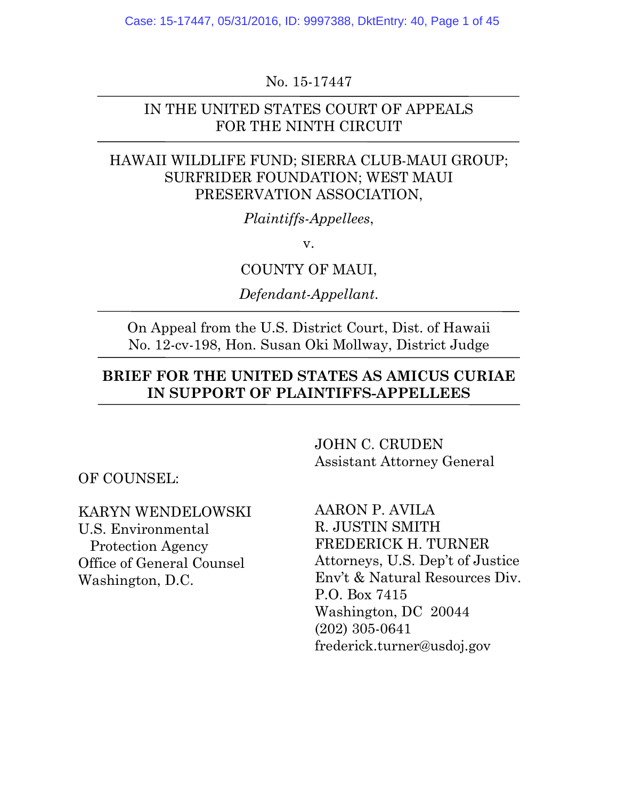No. 15-17447

### IN THE UNITED STATES COURT OF APPEALS FOR THE NINTH CIRCUIT

### HAWAII WILDLIFE FUND; SIERRA CLUB-MAUI GROUP; SURFRIDER FOUNDATION; WEST MAUI PRESERVATION ASSOCIATION,

*Plaintiffs-Appellees*,

v.

COUNTY OF MAUI,

*Defendant-Appellant*.

On Appeal from the U.S. District Court, Dist. of Hawaii No. 12-cv-198, Hon. Susan Oki Mollway, District Judge

### **BRIEF FOR THE UNITED STATES AS AMICUS CURIAE IN SUPPORT OF PLAINTIFFS-APPELLEES**

OF COUNSEL:

KARYN WENDELOWSKI U.S. Environmental Protection Agency Office of General Counsel Washington, D.C.

JOHN C. CRUDEN Assistant Attorney General

AARON P. AVILA R. JUSTIN SMITH FREDERICK H. TURNER Attorneys, U.S. Dep't of Justice Env't & Natural Resources Div. P.O. Box 7415 Washington, DC 20044 (202) 305-0641 frederick.turner@usdoj.gov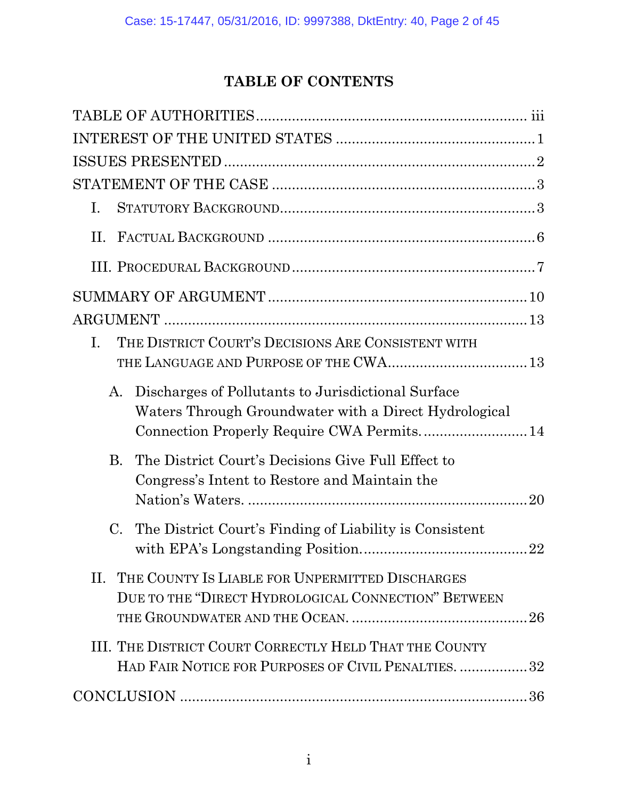# **TABLE OF CONTENTS**

| I.                                                                                                                                                              |  |
|-----------------------------------------------------------------------------------------------------------------------------------------------------------------|--|
| H.                                                                                                                                                              |  |
|                                                                                                                                                                 |  |
|                                                                                                                                                                 |  |
|                                                                                                                                                                 |  |
| THE DISTRICT COURT'S DECISIONS ARE CONSISTENT WITH<br>T.                                                                                                        |  |
| Discharges of Pollutants to Jurisdictional Surface<br>A.<br>Waters Through Groundwater with a Direct Hydrological<br>Connection Properly Require CWA Permits 14 |  |
| The District Court's Decisions Give Full Effect to<br>B.<br>Congress's Intent to Restore and Maintain the                                                       |  |
| The District Court's Finding of Liability is Consistent<br>C.                                                                                                   |  |
| II. THE COUNTY IS LIABLE FOR UNPERMITTED DISCHARGES<br>DUE TO THE "DIRECT HYDROLOGICAL CONNECTION" BETWEEN                                                      |  |
| III. THE DISTRICT COURT CORRECTLY HELD THAT THE COUNTY<br>HAD FAIR NOTICE FOR PURPOSES OF CIVIL PENALTIES. 32                                                   |  |
|                                                                                                                                                                 |  |
|                                                                                                                                                                 |  |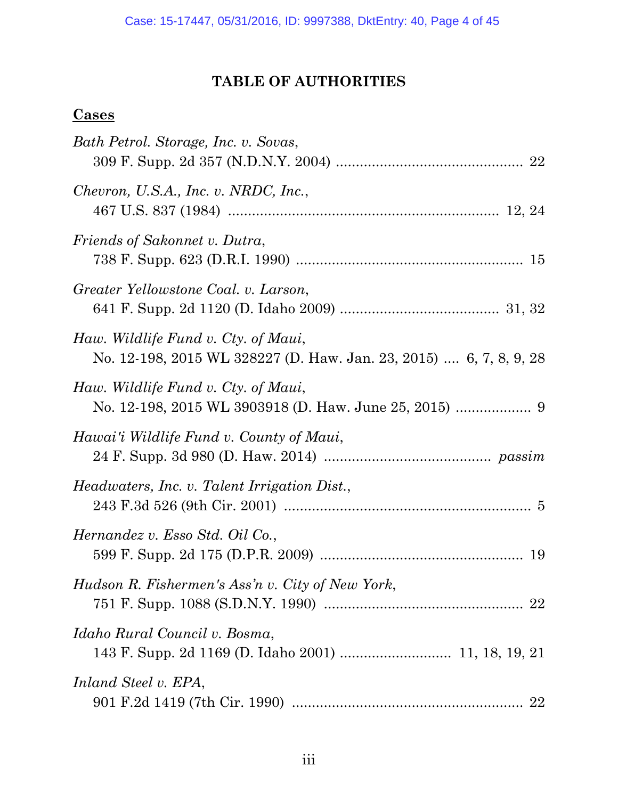# **TABLE OF AUTHORITIES**

# **Cases**

| Bath Petrol. Storage, Inc. v. Sovas,                                                                      |
|-----------------------------------------------------------------------------------------------------------|
| Chevron, U.S.A., Inc. v. NRDC, Inc.,                                                                      |
| Friends of Sakonnet v. Dutra,                                                                             |
| Greater Yellowstone Coal. v. Larson,                                                                      |
| Haw. Wildlife Fund v. Cty. of Maui,<br>No. 12-198, 2015 WL 328227 (D. Haw. Jan. 23, 2015)  6, 7, 8, 9, 28 |
| Haw. Wildlife Fund v. Cty. of Maui,                                                                       |
| Hawai'i Wildlife Fund v. County of Maui,                                                                  |
| <i>Headwaters, Inc. v. Talent Irrigation Dist.,</i>                                                       |
| Hernandez v. Esso Std. Oil Co.,                                                                           |
| Hudson R. Fishermen's Ass'n v. City of New York,                                                          |
| Idaho Rural Council v. Bosma,                                                                             |
| Inland Steel v. EPA,                                                                                      |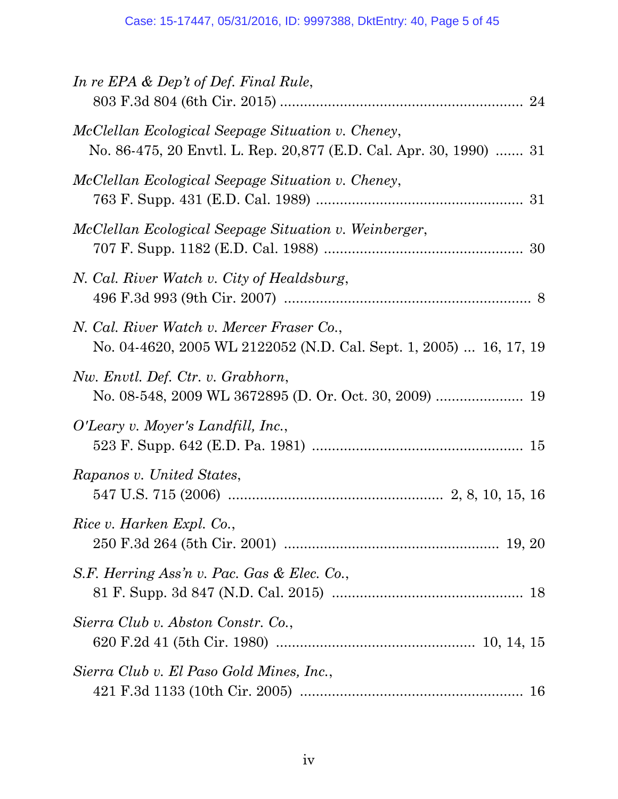| In re EPA $\&$ Dep't of Def. Final Rule,                                                                                |
|-------------------------------------------------------------------------------------------------------------------------|
| McClellan Ecological Seepage Situation v. Cheney,<br>No. 86-475, 20 Envtl. L. Rep. 20,877 (E.D. Cal. Apr. 30, 1990)  31 |
| McClellan Ecological Seepage Situation v. Cheney,                                                                       |
| McClellan Ecological Seepage Situation v. Weinberger,                                                                   |
| N. Cal. River Watch v. City of Healdsburg,                                                                              |
| N. Cal. River Watch v. Mercer Fraser Co.,<br>No. 04-4620, 2005 WL 2122052 (N.D. Cal. Sept. 1, 2005)  16, 17, 19         |
| Nw. Envtl. Def. Ctr. v. Grabhorn,                                                                                       |
| O'Leary v. Moyer's Landfill, Inc.,                                                                                      |
| Rapanos v. United States,                                                                                               |
| Rice v. Harken Expl. Co.,                                                                                               |
| S.F. Herring Ass'n v. Pac. Gas & Elec. Co.,                                                                             |
| Sierra Club v. Abston Constr. Co.,                                                                                      |
| Sierra Club v. El Paso Gold Mines, Inc.,                                                                                |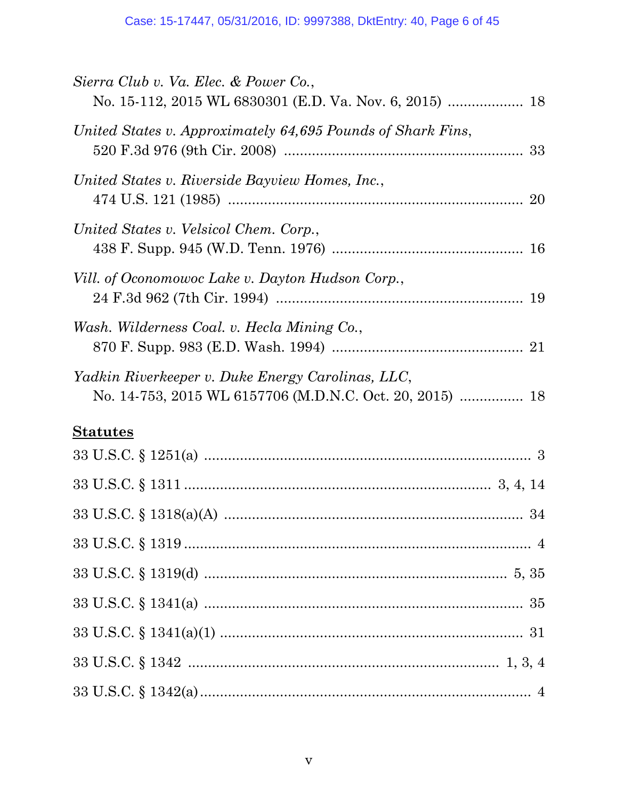| Sierra Club v. Va. Elec. & Power Co.,                       |
|-------------------------------------------------------------|
| United States v. Approximately 64,695 Pounds of Shark Fins, |
| United States v. Riverside Bayview Homes, Inc.,             |
| United States v. Velsicol Chem. Corp.,                      |
| Vill. of Oconomowoc Lake v. Dayton Hudson Corp.,            |
| Wash. Wilderness Coal. v. Hecla Mining Co.,                 |
| Yadkin Riverkeeper v. Duke Energy Carolinas, LLC,           |
| <b>Statutes</b>                                             |
|                                                             |
|                                                             |
|                                                             |
|                                                             |
|                                                             |
|                                                             |
|                                                             |
|                                                             |
|                                                             |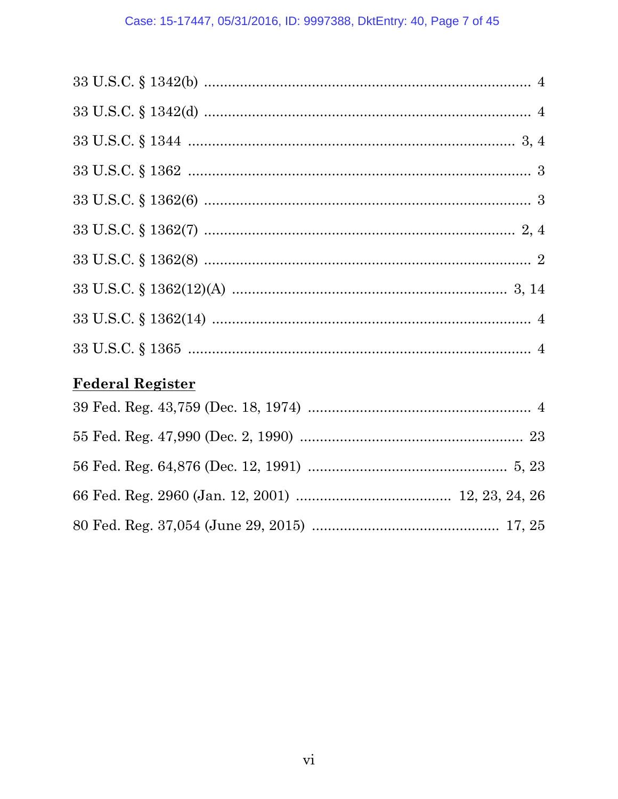# **Federal Register**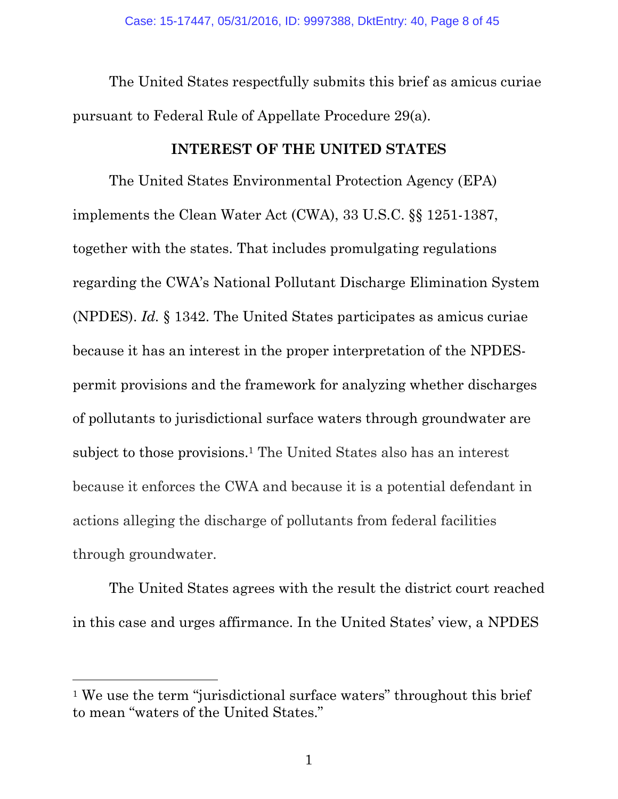The United States respectfully submits this brief as amicus curiae pursuant to Federal Rule of Appellate Procedure 29(a).

### **INTEREST OF THE UNITED STATES**

<span id="page-7-1"></span><span id="page-7-0"></span>The United States Environmental Protection Agency (EPA) implements the Clean Water Act (CWA), 33 U.S.C. §§ 1251-1387, together with the states. That includes promulgating regulations regarding the CWA's National Pollutant Discharge Elimination System (NPDES). *Id.* § 1342. The United States participates as amicus curiae because it has an interest in the proper interpretation of the NPDESpermit provisions and the framework for analyzing whether discharges of pollutants to jurisdictional surface waters through groundwater are subject to those provisions. <sup>1</sup> The United States also has an interest because it enforces the CWA and because it is a potential defendant in actions alleging the discharge of pollutants from federal facilities through groundwater.

The United States agrees with the result the district court reached in this case and urges affirmance. In the United States' view, a NPDES

l

<sup>&</sup>lt;sup>1</sup> We use the term "jurisdictional surface waters" throughout this brief to mean "waters of the United States."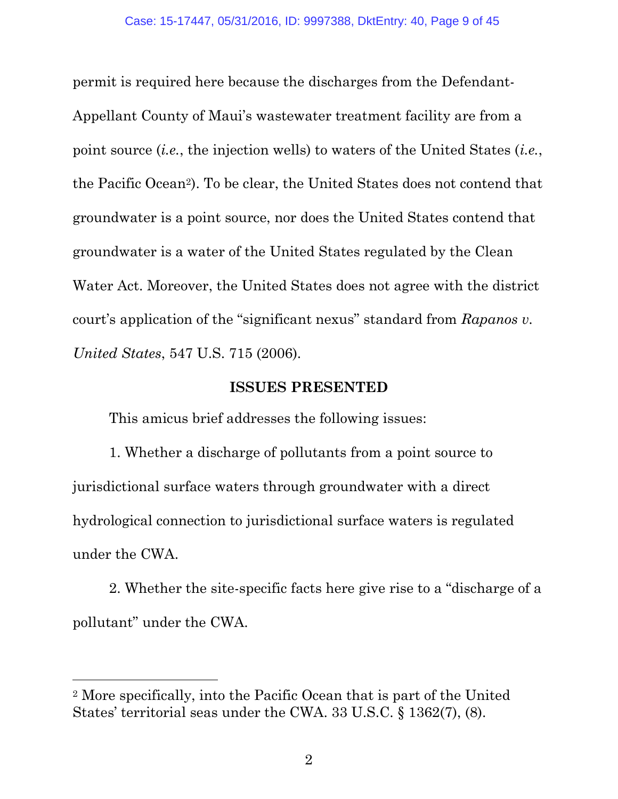permit is required here because the discharges from the Defendant-Appellant County of Maui's wastewater treatment facility are from a point source (*i.e.*, the injection wells) to waters of the United States (*i.e.*, the Pacific Ocean2). To be clear, the United States does not contend that groundwater is a point source, nor does the United States contend that groundwater is a water of the United States regulated by the Clean Water Act. Moreover, the United States does not agree with the district court's application of the "significant nexus" standard from *Rapanos v. United States*, 547 U.S. 715 (2006).

### <span id="page-8-1"></span>**ISSUES PRESENTED**

<span id="page-8-0"></span>This amicus brief addresses the following issues:

1. Whether a discharge of pollutants from a point source to jurisdictional surface waters through groundwater with a direct hydrological connection to jurisdictional surface waters is regulated under the CWA.

2. Whether the site-specific facts here give rise to a "discharge of a pollutant" under the CWA.

<span id="page-8-2"></span>l

<sup>2</sup> More specifically, into the Pacific Ocean that is part of the United States' territorial seas under the CWA. 33 U.S.C. § 1362(7), (8).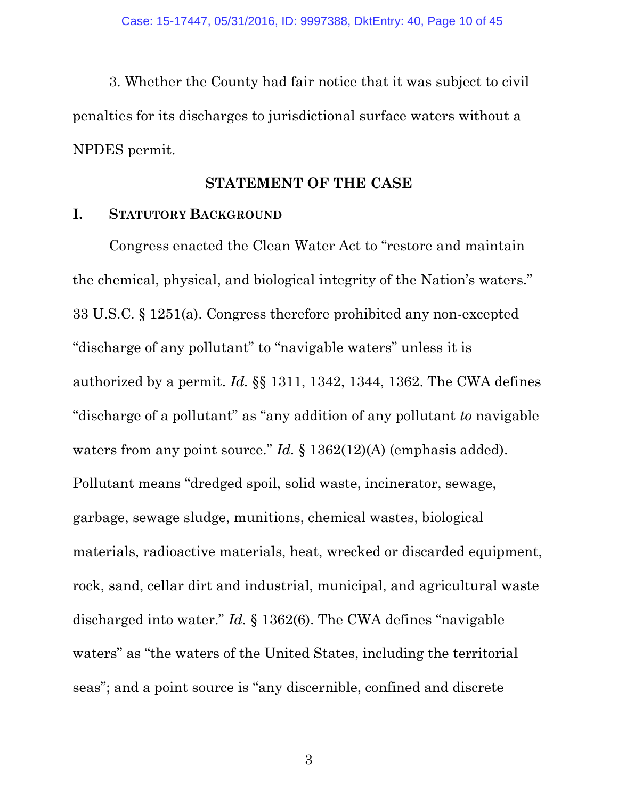3. Whether the County had fair notice that it was subject to civil penalties for its discharges to jurisdictional surface waters without a NPDES permit.

### <span id="page-9-5"></span><span id="page-9-3"></span>**STATEMENT OF THE CASE**

#### <span id="page-9-1"></span><span id="page-9-0"></span>**I. STATUTORY BACKGROUND**

<span id="page-9-4"></span><span id="page-9-2"></span>Congress enacted the Clean Water Act to "restore and maintain the chemical, physical, and biological integrity of the Nation's waters." 33 U.S.C. § 1251(a). Congress therefore prohibited any non-excepted "discharge of any pollutant" to "navigable waters" unless it is authorized by a permit. *Id.* §§ 1311, 1342, 1344, 1362. The CWA defines "discharge of a pollutant" as "any addition of any pollutant *to* navigable waters from any point source." *Id.* § 1362(12)(A) (emphasis added). Pollutant means "dredged spoil, solid waste, incinerator, sewage, garbage, sewage sludge, munitions, chemical wastes, biological materials, radioactive materials, heat, wrecked or discarded equipment, rock, sand, cellar dirt and industrial, municipal, and agricultural waste discharged into water." *Id.* § 1362(6). The CWA defines "navigable waters" as "the waters of the United States, including the territorial seas"; and a point source is "any discernible, confined and discrete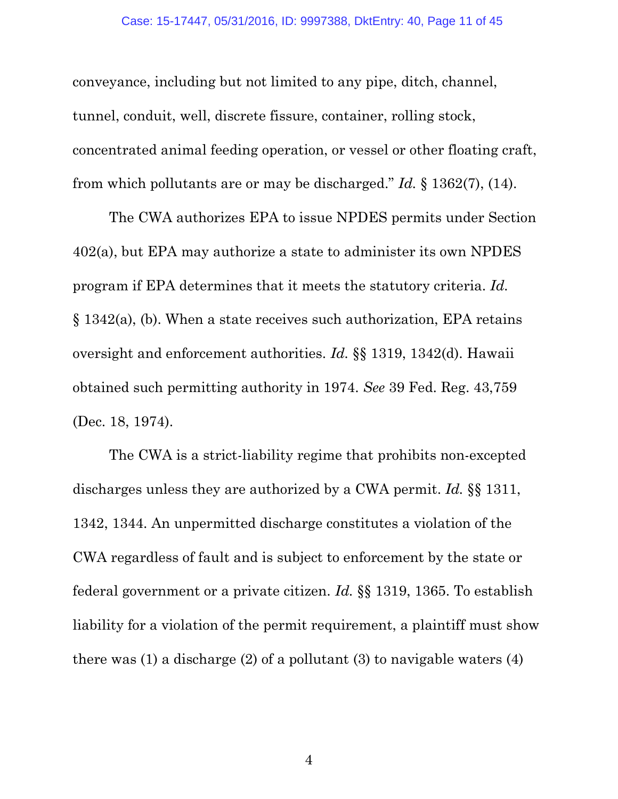conveyance, including but not limited to any pipe, ditch, channel, tunnel, conduit, well, discrete fissure, container, rolling stock, concentrated animal feeding operation, or vessel or other floating craft, from which pollutants are or may be discharged." *Id.* § 1362(7), (14).

<span id="page-10-2"></span><span id="page-10-1"></span>The CWA authorizes EPA to issue NPDES permits under Section 402(a), but EPA may authorize a state to administer its own NPDES program if EPA determines that it meets the statutory criteria. *Id.* § 1342(a), (b). When a state receives such authorization, EPA retains oversight and enforcement authorities. *Id.* §§ 1319, 1342(d). Hawaii obtained such permitting authority in 1974. *See* 39 Fed. Reg. 43,759 (Dec. 18, 1974).

<span id="page-10-3"></span><span id="page-10-0"></span>The CWA is a strict-liability regime that prohibits non-excepted discharges unless they are authorized by a CWA permit. *Id.* §§ 1311, 1342, 1344. An unpermitted discharge constitutes a violation of the CWA regardless of fault and is subject to enforcement by the state or federal government or a private citizen. *Id.* §§ 1319, 1365. To establish liability for a violation of the permit requirement, a plaintiff must show there was  $(1)$  a discharge  $(2)$  of a pollutant  $(3)$  to navigable waters  $(4)$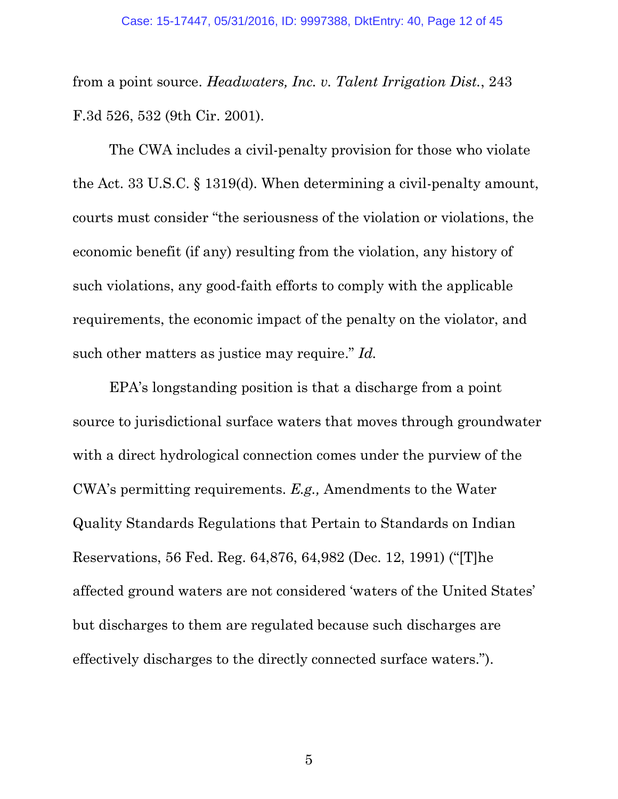<span id="page-11-0"></span>from a point source. *Headwaters, Inc. v. Talent Irrigation Dist.*, 243 F.3d 526, 532 (9th Cir. 2001).

<span id="page-11-1"></span>The CWA includes a civil-penalty provision for those who violate the Act. 33 U.S.C. § 1319(d). When determining a civil-penalty amount, courts must consider "the seriousness of the violation or violations, the economic benefit (if any) resulting from the violation, any history of such violations, any good-faith efforts to comply with the applicable requirements, the economic impact of the penalty on the violator, and such other matters as justice may require." *Id.*

<span id="page-11-2"></span>EPA's longstanding position is that a discharge from a point source to jurisdictional surface waters that moves through groundwater with a direct hydrological connection comes under the purview of the CWA's permitting requirements. *E.g.,* Amendments to the Water Quality Standards Regulations that Pertain to Standards on Indian Reservations, 56 Fed. Reg. 64,876, 64,982 (Dec. 12, 1991) ("[T]he affected ground waters are not considered 'waters of the United States' but discharges to them are regulated because such discharges are effectively discharges to the directly connected surface waters.").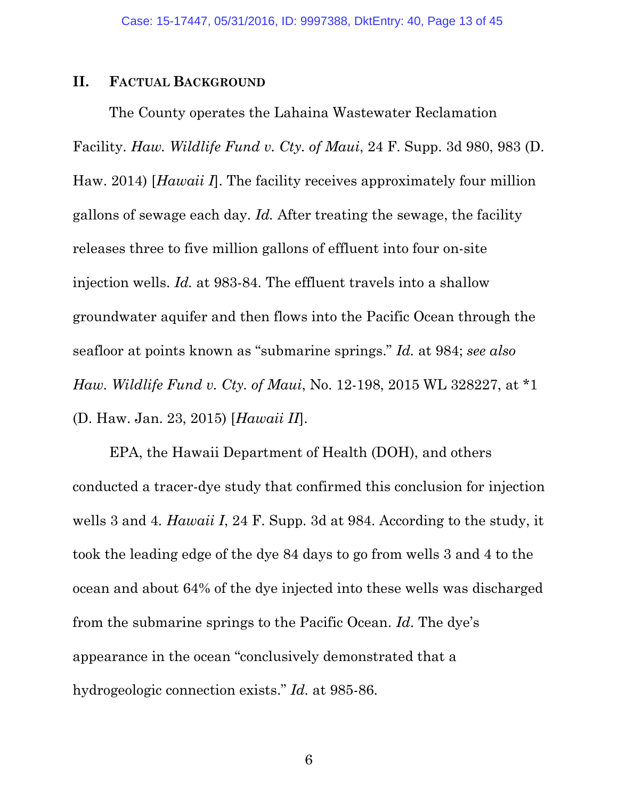#### <span id="page-12-0"></span>**II. FACTUAL BACKGROUND**

The County operates the Lahaina Wastewater Reclamation Facility. *Haw. Wildlife Fund v. Cty. of Maui*, 24 F. Supp. 3d 980, 983 (D. Haw. 2014) [*Hawaii I*]. The facility receives approximately four million gallons of sewage each day. *Id.* After treating the sewage, the facility releases three to five million gallons of effluent into four on-site injection wells. *Id.* at 983-84. The effluent travels into a shallow groundwater aquifer and then flows into the Pacific Ocean through the seafloor at points known as "submarine springs." *Id.* at 984; *see also Haw. Wildlife Fund v. Cty. of Maui*, No. 12-198, 2015 WL 328227, at \*1 (D. Haw. Jan. 23, 2015) [*Hawaii II*].

<span id="page-12-1"></span>EPA, the Hawaii Department of Health (DOH), and others conducted a tracer-dye study that confirmed this conclusion for injection wells 3 and 4. *Hawaii I*, 24 F. Supp. 3d at 984. According to the study, it took the leading edge of the dye 84 days to go from wells 3 and 4 to the ocean and about 64% of the dye injected into these wells was discharged from the submarine springs to the Pacific Ocean. *Id*. The dye's appearance in the ocean "conclusively demonstrated that a hydrogeologic connection exists." *Id.* at 985-86.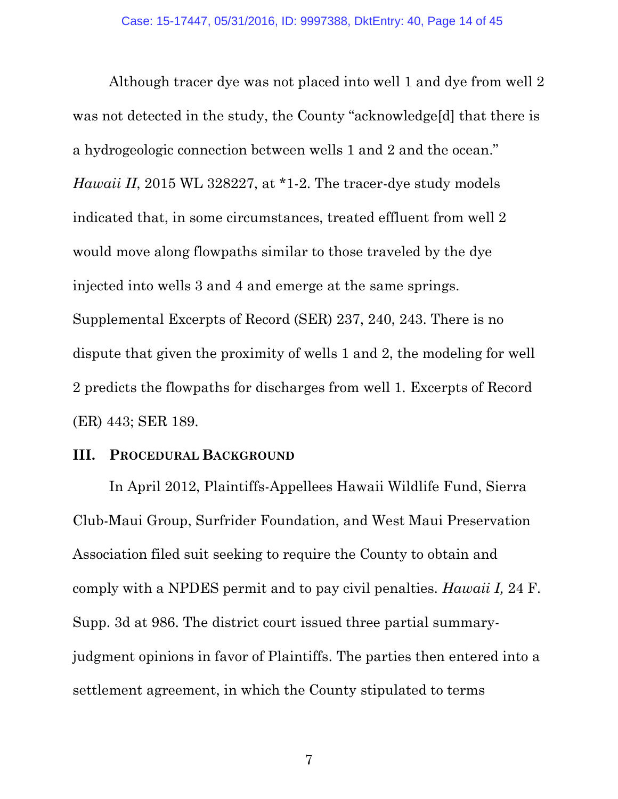Although tracer dye was not placed into well 1 and dye from well 2 was not detected in the study, the County "acknowledge[d] that there is a hydrogeologic connection between wells 1 and 2 and the ocean." *Hawaii II*, 2015 WL 328227, at \*1-2. The tracer-dye study models indicated that, in some circumstances, treated effluent from well 2 would move along flowpaths similar to those traveled by the dye injected into wells 3 and 4 and emerge at the same springs. Supplemental Excerpts of Record (SER) 237, 240, 243. There is no dispute that given the proximity of wells 1 and 2, the modeling for well 2 predicts the flowpaths for discharges from well 1. Excerpts of Record (ER) 443; SER 189.

#### <span id="page-13-0"></span>**III. PROCEDURAL BACKGROUND**

In April 2012, Plaintiffs-Appellees Hawaii Wildlife Fund, Sierra Club-Maui Group, Surfrider Foundation, and West Maui Preservation Association filed suit seeking to require the County to obtain and comply with a NPDES permit and to pay civil penalties. *Hawaii I,* 24 F. Supp. 3d at 986. The district court issued three partial summaryjudgment opinions in favor of Plaintiffs. The parties then entered into a settlement agreement, in which the County stipulated to terms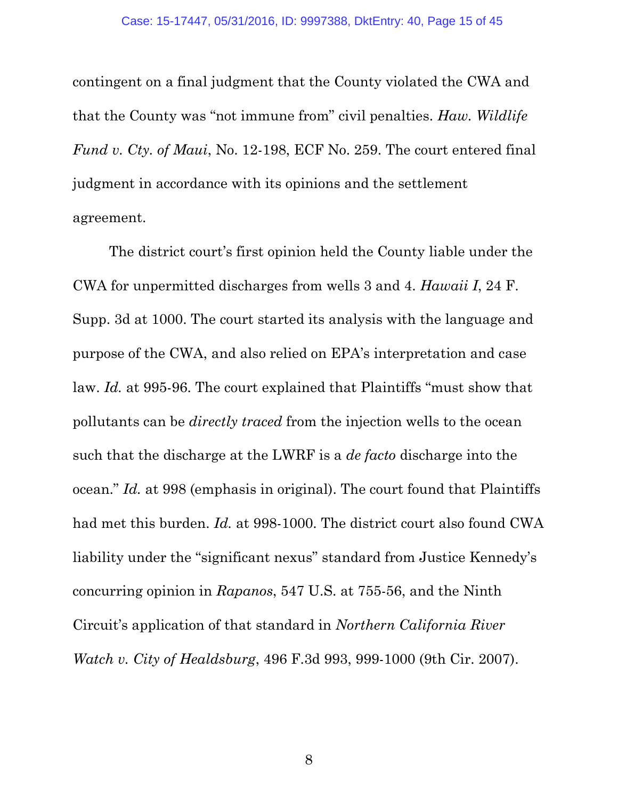contingent on a final judgment that the County violated the CWA and that the County was "not immune from" civil penalties. *Haw. Wildlife Fund v. Cty. of Maui*, No. 12-198, ECF No. 259. The court entered final judgment in accordance with its opinions and the settlement agreement.

<span id="page-14-1"></span><span id="page-14-0"></span>The district court's first opinion held the County liable under the CWA for unpermitted discharges from wells 3 and 4. *Hawaii I*, 24 F. Supp. 3d at 1000. The court started its analysis with the language and purpose of the CWA, and also relied on EPA's interpretation and case law. *Id.* at 995-96. The court explained that Plaintiffs "must show that pollutants can be *directly traced* from the injection wells to the ocean such that the discharge at the LWRF is a *de facto* discharge into the ocean." *Id.* at 998 (emphasis in original). The court found that Plaintiffs had met this burden. *Id.* at 998-1000. The district court also found CWA liability under the "significant nexus" standard from Justice Kennedy's concurring opinion in *Rapanos*, 547 U.S. at 755-56, and the Ninth Circuit's application of that standard in *Northern California River Watch v. City of Healdsburg*, 496 F.3d 993, 999-1000 (9th Cir. 2007).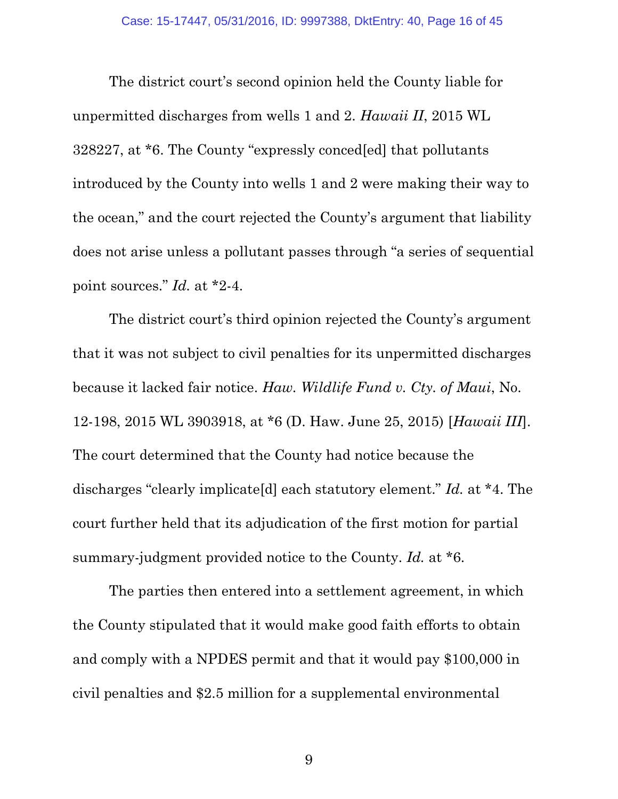The district court's second opinion held the County liable for unpermitted discharges from wells 1 and 2. *Hawaii II*, 2015 WL 328227, at \*6. The County "expressly conced[ed] that pollutants introduced by the County into wells 1 and 2 were making their way to the ocean," and the court rejected the County's argument that liability does not arise unless a pollutant passes through "a series of sequential point sources." *Id.* at \*2-4.

<span id="page-15-0"></span>The district court's third opinion rejected the County's argument that it was not subject to civil penalties for its unpermitted discharges because it lacked fair notice. *Haw. Wildlife Fund v. Cty. of Maui*, No. 12-198, 2015 WL 3903918, at \*6 (D. Haw. June 25, 2015) [*Hawaii III*]. The court determined that the County had notice because the discharges "clearly implicate[d] each statutory element." *Id.* at \*4. The court further held that its adjudication of the first motion for partial summary-judgment provided notice to the County. *Id.* at \*6.

The parties then entered into a settlement agreement, in which the County stipulated that it would make good faith efforts to obtain and comply with a NPDES permit and that it would pay \$100,000 in civil penalties and \$2.5 million for a supplemental environmental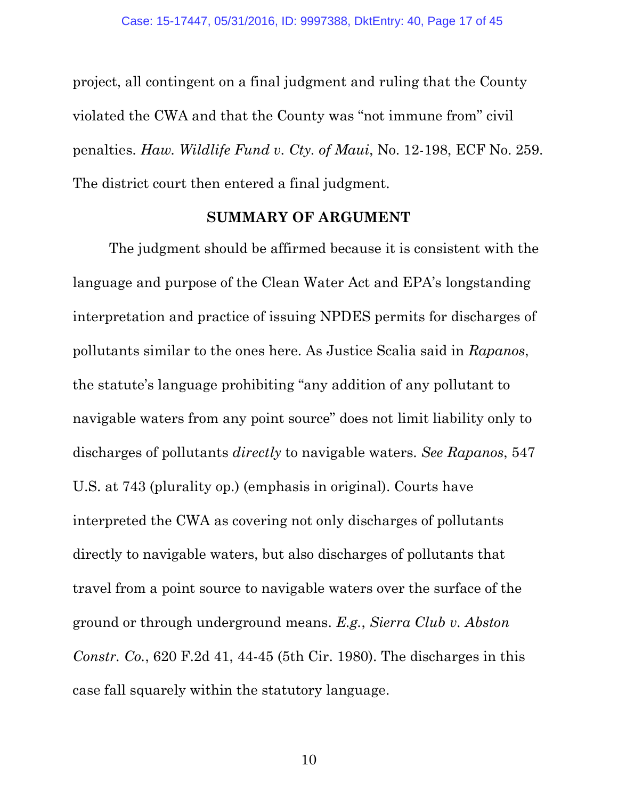project, all contingent on a final judgment and ruling that the County violated the CWA and that the County was "not immune from" civil penalties. *Haw. Wildlife Fund v. Cty. of Maui*, No. 12-198, ECF No. 259. The district court then entered a final judgment.

#### <span id="page-16-2"></span><span id="page-16-1"></span>**SUMMARY OF ARGUMENT**

<span id="page-16-0"></span>The judgment should be affirmed because it is consistent with the language and purpose of the Clean Water Act and EPA's longstanding interpretation and practice of issuing NPDES permits for discharges of pollutants similar to the ones here. As Justice Scalia said in *Rapanos*, the statute's language prohibiting "any addition of any pollutant to navigable waters from any point source" does not limit liability only to discharges of pollutants *directly* to navigable waters. *See Rapanos*, 547 U.S. at 743 (plurality op.) (emphasis in original). Courts have interpreted the CWA as covering not only discharges of pollutants directly to navigable waters, but also discharges of pollutants that travel from a point source to navigable waters over the surface of the ground or through underground means. *E.g.*, *Sierra Club v. Abston Constr. Co.*, 620 F.2d 41, 44-45 (5th Cir. 1980). The discharges in this case fall squarely within the statutory language.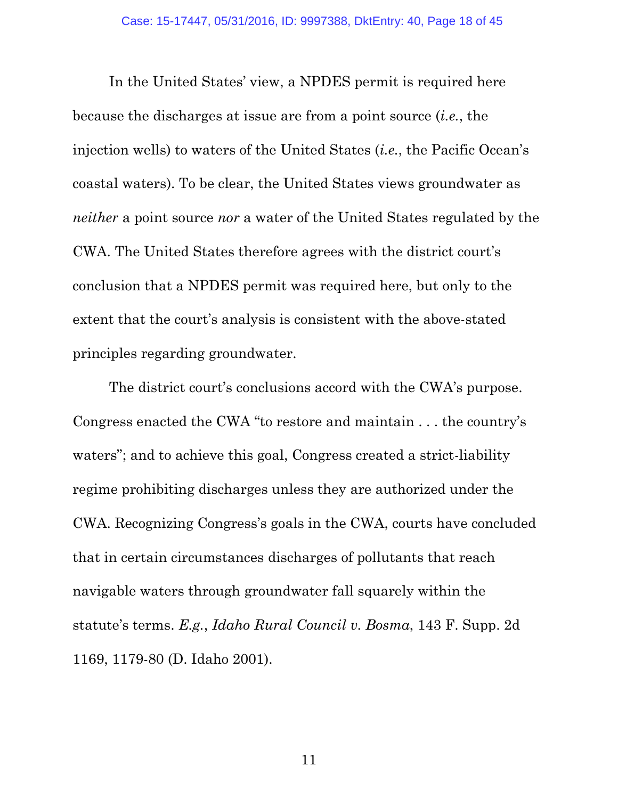In the United States' view, a NPDES permit is required here because the discharges at issue are from a point source (*i.e.*, the injection wells) to waters of the United States (*i.e.*, the Pacific Ocean's coastal waters). To be clear, the United States views groundwater as *neither* a point source *nor* a water of the United States regulated by the CWA. The United States therefore agrees with the district court's conclusion that a NPDES permit was required here, but only to the extent that the court's analysis is consistent with the above-stated principles regarding groundwater.

<span id="page-17-0"></span>The district court's conclusions accord with the CWA's purpose. Congress enacted the CWA "to restore and maintain . . . the country's waters"; and to achieve this goal, Congress created a strict-liability regime prohibiting discharges unless they are authorized under the CWA. Recognizing Congress's goals in the CWA, courts have concluded that in certain circumstances discharges of pollutants that reach navigable waters through groundwater fall squarely within the statute's terms. *E.g.*, *Idaho Rural Council v. Bosma*, 143 F. Supp. 2d 1169, 1179-80 (D. Idaho 2001).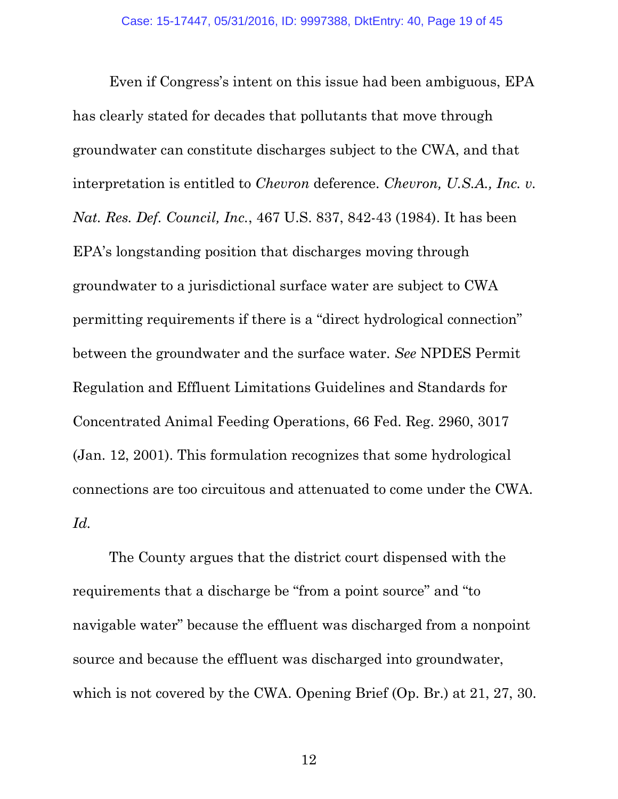<span id="page-18-0"></span>Even if Congress's intent on this issue had been ambiguous, EPA has clearly stated for decades that pollutants that move through groundwater can constitute discharges subject to the CWA, and that interpretation is entitled to *Chevron* deference. *Chevron, U.S.A., Inc. v. Nat. Res. Def. Council, Inc.*, 467 U.S. 837, 842-43 (1984). It has been EPA's longstanding position that discharges moving through groundwater to a jurisdictional surface water are subject to CWA permitting requirements if there is a "direct hydrological connection" between the groundwater and the surface water. *See* NPDES Permit Regulation and Effluent Limitations Guidelines and Standards for Concentrated Animal Feeding Operations, 66 Fed. Reg. 2960, 3017 (Jan. 12, 2001). This formulation recognizes that some hydrological connections are too circuitous and attenuated to come under the CWA. *Id.* 

<span id="page-18-1"></span>The County argues that the district court dispensed with the requirements that a discharge be "from a point source" and "to navigable water" because the effluent was discharged from a nonpoint source and because the effluent was discharged into groundwater, which is not covered by the CWA. Opening Brief (Op. Br.) at 21, 27, 30.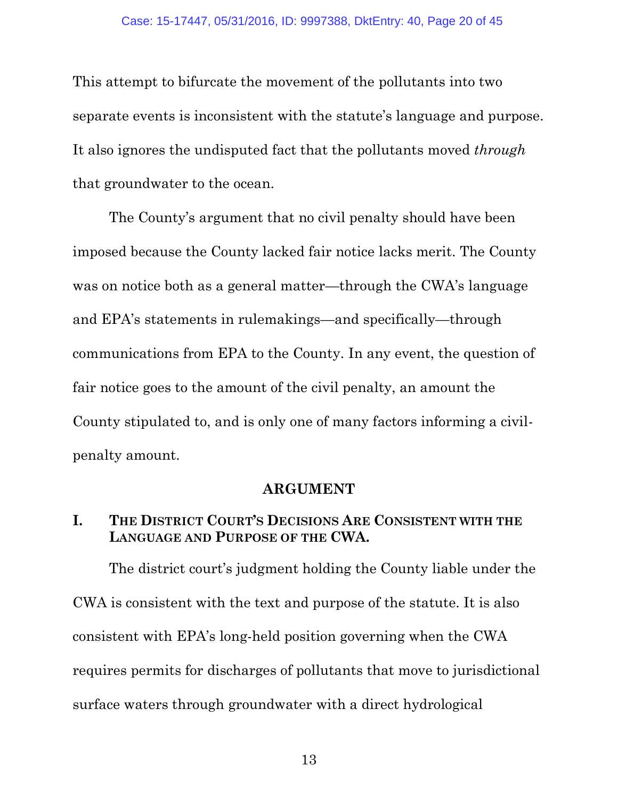This attempt to bifurcate the movement of the pollutants into two separate events is inconsistent with the statute's language and purpose. It also ignores the undisputed fact that the pollutants moved *through*  that groundwater to the ocean.

The County's argument that no civil penalty should have been imposed because the County lacked fair notice lacks merit. The County was on notice both as a general matter—through the CWA's language and EPA's statements in rulemakings—and specifically—through communications from EPA to the County. In any event, the question of fair notice goes to the amount of the civil penalty, an amount the County stipulated to, and is only one of many factors informing a civilpenalty amount.

### **ARGUMENT**

### <span id="page-19-1"></span><span id="page-19-0"></span>**I. THE DISTRICT COURT'S DECISIONS ARE CONSISTENT WITH THE LANGUAGE AND PURPOSE OF THE CWA.**

The district court's judgment holding the County liable under the CWA is consistent with the text and purpose of the statute. It is also consistent with EPA's long-held position governing when the CWA requires permits for discharges of pollutants that move to jurisdictional surface waters through groundwater with a direct hydrological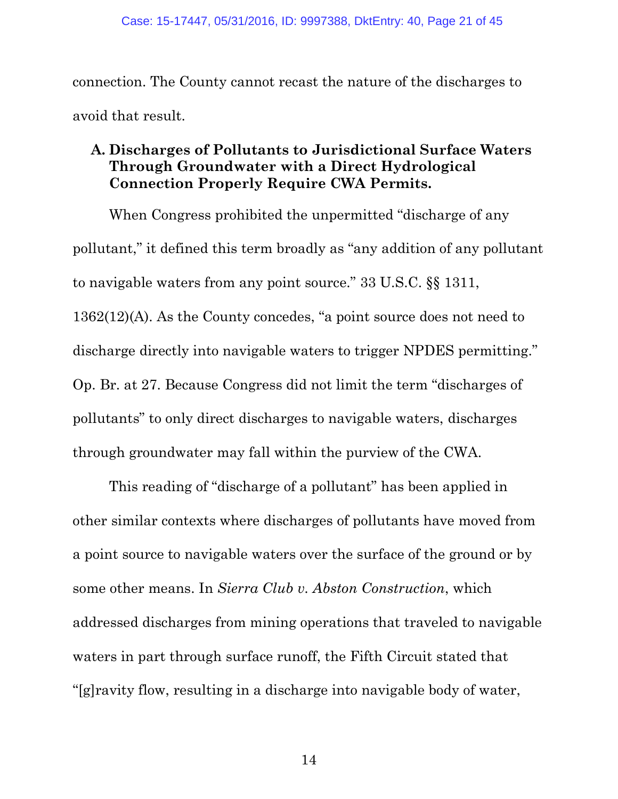connection. The County cannot recast the nature of the discharges to avoid that result.

## <span id="page-20-0"></span>**A. Discharges of Pollutants to Jurisdictional Surface Waters Through Groundwater with a Direct Hydrological Connection Properly Require CWA Permits.**

<span id="page-20-1"></span>When Congress prohibited the unpermitted "discharge of any pollutant," it defined this term broadly as "any addition of any pollutant to navigable waters from any point source." 33 U.S.C. §§ 1311, 1362(12)(A). As the County concedes, "a point source does not need to discharge directly into navigable waters to trigger NPDES permitting." Op. Br. at 27. Because Congress did not limit the term "discharges of pollutants" to only direct discharges to navigable waters, discharges through groundwater may fall within the purview of the CWA.

This reading of "discharge of a pollutant" has been applied in other similar contexts where discharges of pollutants have moved from a point source to navigable waters over the surface of the ground or by some other means. In *Sierra Club v. Abston Construction*, which addressed discharges from mining operations that traveled to navigable waters in part through surface runoff, the Fifth Circuit stated that "[g]ravity flow, resulting in a discharge into navigable body of water,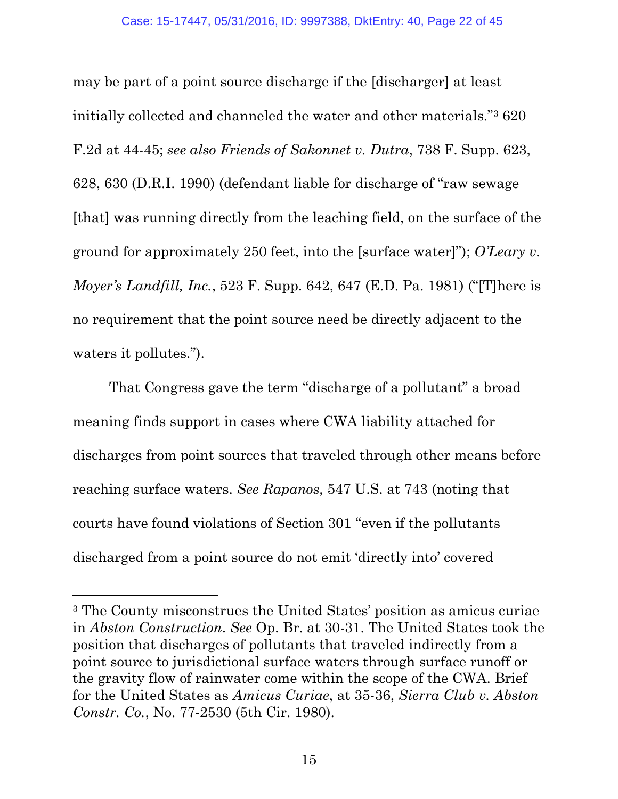<span id="page-21-3"></span><span id="page-21-0"></span>may be part of a point source discharge if the [discharger] at least initially collected and channeled the water and other materials."<sup>3</sup> 620 F.2d at 44-45; *see also Friends of Sakonnet v. Dutra*, 738 F. Supp. 623, 628, 630 (D.R.I. 1990) (defendant liable for discharge of "raw sewage [that] was running directly from the leaching field, on the surface of the ground for approximately 250 feet, into the [surface water]"); *O'Leary v. Moyer's Landfill, Inc.*, 523 F. Supp. 642, 647 (E.D. Pa. 1981) ("[T]here is no requirement that the point source need be directly adjacent to the waters it pollutes.").

<span id="page-21-2"></span><span id="page-21-1"></span>That Congress gave the term "discharge of a pollutant" a broad meaning finds support in cases where CWA liability attached for discharges from point sources that traveled through other means before reaching surface waters. *See Rapanos*, 547 U.S. at 743 (noting that courts have found violations of Section 301 "even if the pollutants discharged from a point source do not emit 'directly into' covered

<sup>3</sup> The County misconstrues the United States' position as amicus curiae in *Abston Construction*. *See* Op. Br. at 30-31. The United States took the position that discharges of pollutants that traveled indirectly from a point source to jurisdictional surface waters through surface runoff or the gravity flow of rainwater come within the scope of the CWA. Brief for the United States as *Amicus Curiae*, at 35-36, *Sierra Club v. Abston Constr. Co.*, No. 77-2530 (5th Cir. 1980).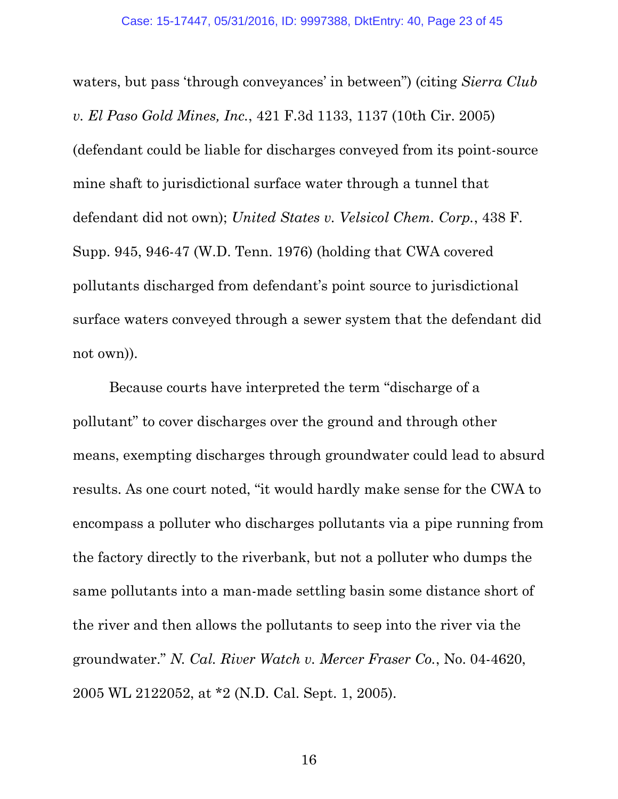waters, but pass 'through conveyances' in between") (citing *Sierra Club v. El Paso Gold Mines, Inc.*, 421 F.3d 1133, 1137 (10th Cir. 2005) (defendant could be liable for discharges conveyed from its point-source mine shaft to jurisdictional surface water through a tunnel that defendant did not own); *United States v. Velsicol Chem. Corp.*, 438 F. Supp. 945, 946-47 (W.D. Tenn. 1976) (holding that CWA covered pollutants discharged from defendant's point source to jurisdictional surface waters conveyed through a sewer system that the defendant did not own)).

<span id="page-22-0"></span>Because courts have interpreted the term "discharge of a pollutant" to cover discharges over the ground and through other means, exempting discharges through groundwater could lead to absurd results. As one court noted, "it would hardly make sense for the CWA to encompass a polluter who discharges pollutants via a pipe running from the factory directly to the riverbank, but not a polluter who dumps the same pollutants into a man-made settling basin some distance short of the river and then allows the pollutants to seep into the river via the groundwater." *N. Cal. River Watch v. Mercer Fraser Co.*, No. 04-4620, 2005 WL 2122052, at \*2 (N.D. Cal. Sept. 1, 2005).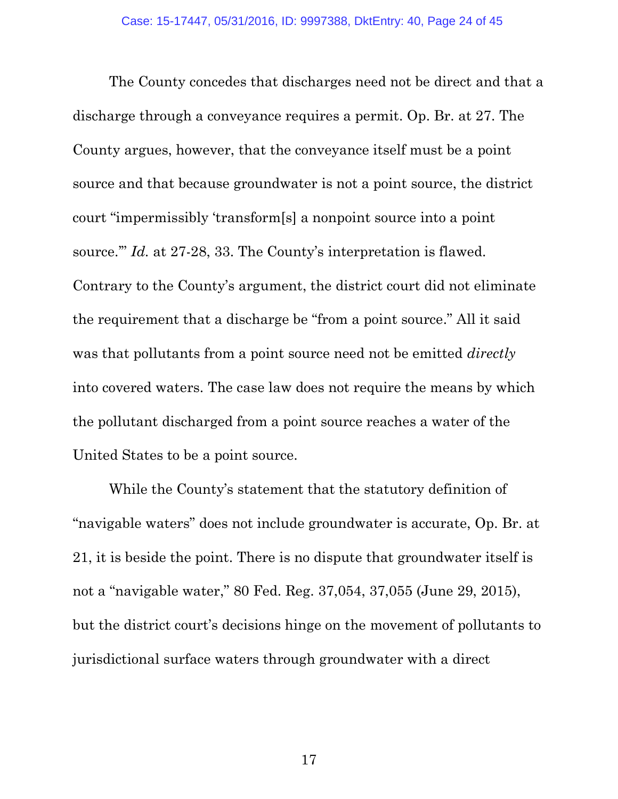<span id="page-23-0"></span>The County concedes that discharges need not be direct and that a discharge through a conveyance requires a permit. Op. Br. at 27. The County argues, however, that the conveyance itself must be a point source and that because groundwater is not a point source, the district court "impermissibly 'transform[s] a nonpoint source into a point source.'" *Id.* at 27-28, 33. The County's interpretation is flawed. Contrary to the County's argument, the district court did not eliminate the requirement that a discharge be "from a point source." All it said was that pollutants from a point source need not be emitted *directly* into covered waters. The case law does not require the means by which the pollutant discharged from a point source reaches a water of the United States to be a point source.

While the County's statement that the statutory definition of "navigable waters" does not include groundwater is accurate, Op. Br. at 21, it is beside the point. There is no dispute that groundwater itself is not a "navigable water," 80 Fed. Reg. 37,054, 37,055 (June 29, 2015), but the district court's decisions hinge on the movement of pollutants to jurisdictional surface waters through groundwater with a direct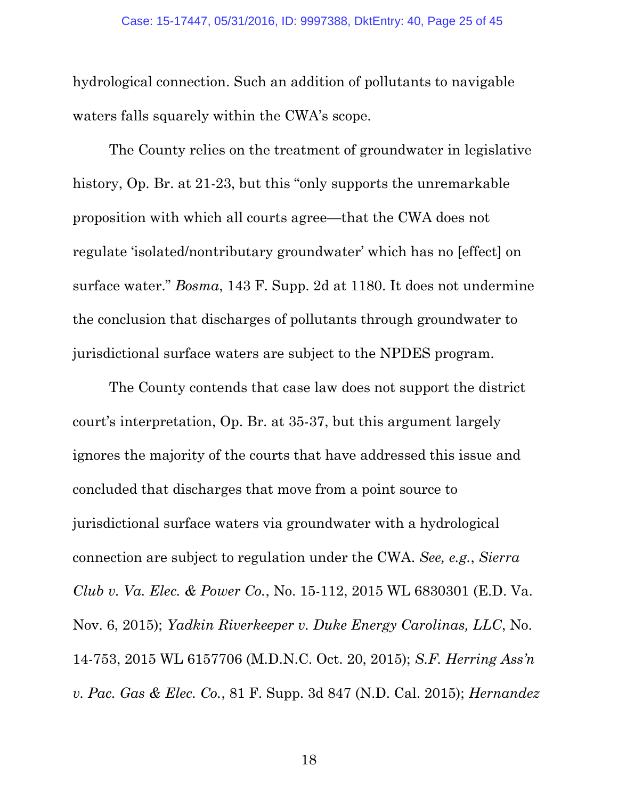hydrological connection. Such an addition of pollutants to navigable waters falls squarely within the CWA's scope.

The County relies on the treatment of groundwater in legislative history, Op. Br. at 21-23, but this "only supports the unremarkable" proposition with which all courts agree—that the CWA does not regulate 'isolated/nontributary groundwater' which has no [effect] on surface water." *Bosma*, 143 F. Supp. 2d at 1180. It does not undermine the conclusion that discharges of pollutants through groundwater to jurisdictional surface waters are subject to the NPDES program.

<span id="page-24-4"></span><span id="page-24-3"></span><span id="page-24-2"></span><span id="page-24-1"></span><span id="page-24-0"></span>The County contends that case law does not support the district court's interpretation, Op. Br. at 35-37, but this argument largely ignores the majority of the courts that have addressed this issue and concluded that discharges that move from a point source to jurisdictional surface waters via groundwater with a hydrological connection are subject to regulation under the CWA. *See, e.g.*, *Sierra Club v. Va. Elec. & Power Co.*, No. 15-112, 2015 WL 6830301 (E.D. Va. Nov. 6, 2015); *Yadkin Riverkeeper v. Duke Energy Carolinas, LLC*, No. 14-753, 2015 WL 6157706 (M.D.N.C. Oct. 20, 2015); *S.F. Herring Ass'n v. Pac. Gas & Elec. Co.*, 81 F. Supp. 3d 847 (N.D. Cal. 2015); *Hernandez*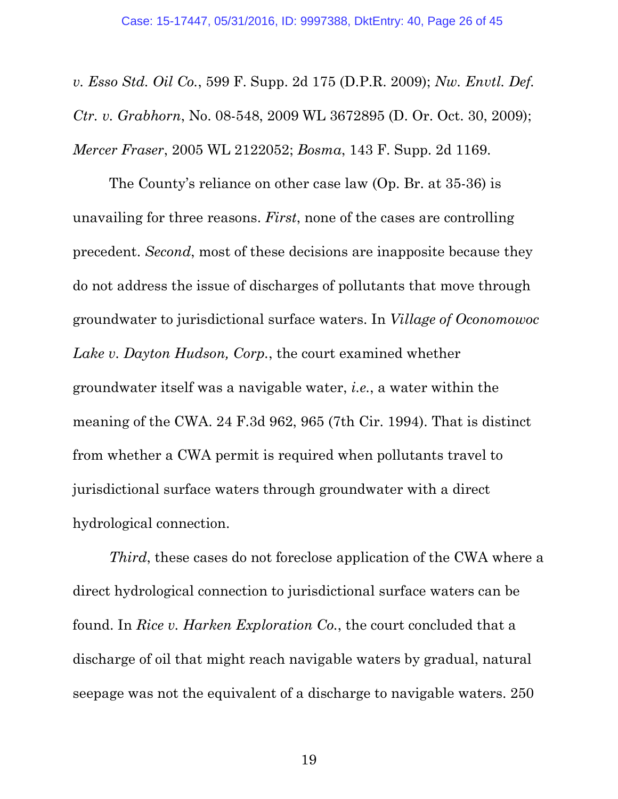<span id="page-25-1"></span>*v. Esso Std. Oil Co.*, 599 F. Supp. 2d 175 (D.P.R. 2009); *Nw. Envtl. Def. Ctr. v. Grabhorn*, No. 08-548, 2009 WL 3672895 (D. Or. Oct. 30, 2009); *Mercer Fraser*, 2005 WL 2122052; *Bosma*, 143 F. Supp. 2d 1169.

<span id="page-25-0"></span>The County's reliance on other case law (Op. Br. at 35-36) is unavailing for three reasons. *First*, none of the cases are controlling precedent. *Second*, most of these decisions are inapposite because they do not address the issue of discharges of pollutants that move through groundwater to jurisdictional surface waters. In *Village of Oconomowoc Lake v. Dayton Hudson, Corp.*, the court examined whether groundwater itself was a navigable water, *i.e.*, a water within the meaning of the CWA. 24 F.3d 962, 965 (7th Cir. 1994). That is distinct from whether a CWA permit is required when pollutants travel to jurisdictional surface waters through groundwater with a direct hydrological connection.

<span id="page-25-3"></span><span id="page-25-2"></span>*Third*, these cases do not foreclose application of the CWA where a direct hydrological connection to jurisdictional surface waters can be found. In *Rice v. Harken Exploration Co.*, the court concluded that a discharge of oil that might reach navigable waters by gradual, natural seepage was not the equivalent of a discharge to navigable waters. 250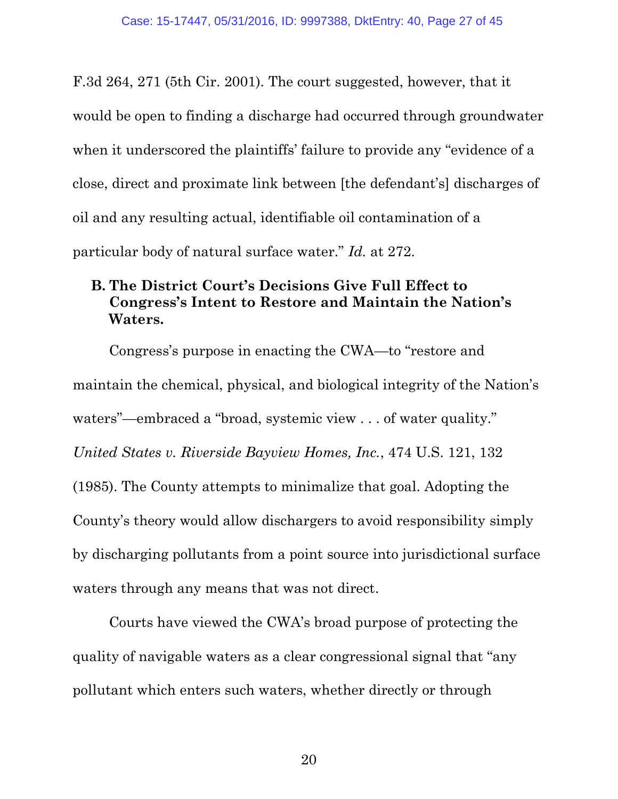F.3d 264, 271 (5th Cir. 2001). The court suggested, however, that it would be open to finding a discharge had occurred through groundwater when it underscored the plaintiffs' failure to provide any "evidence of a close, direct and proximate link between [the defendant's] discharges of oil and any resulting actual, identifiable oil contamination of a particular body of natural surface water." *Id.* at 272.

# <span id="page-26-1"></span><span id="page-26-0"></span>**B. The District Court's Decisions Give Full Effect to Congress's Intent to Restore and Maintain the Nation's Waters.**

<span id="page-26-2"></span>Congress's purpose in enacting the CWA—to "restore and maintain the chemical, physical, and biological integrity of the Nation's waters"—embraced a "broad, systemic view . . . of water quality." *United States v. Riverside Bayview Homes, Inc.*, 474 U.S. 121, 132 (1985). The County attempts to minimalize that goal. Adopting the County's theory would allow dischargers to avoid responsibility simply by discharging pollutants from a point source into jurisdictional surface waters through any means that was not direct.

Courts have viewed the CWA's broad purpose of protecting the quality of navigable waters as a clear congressional signal that "any pollutant which enters such waters, whether directly or through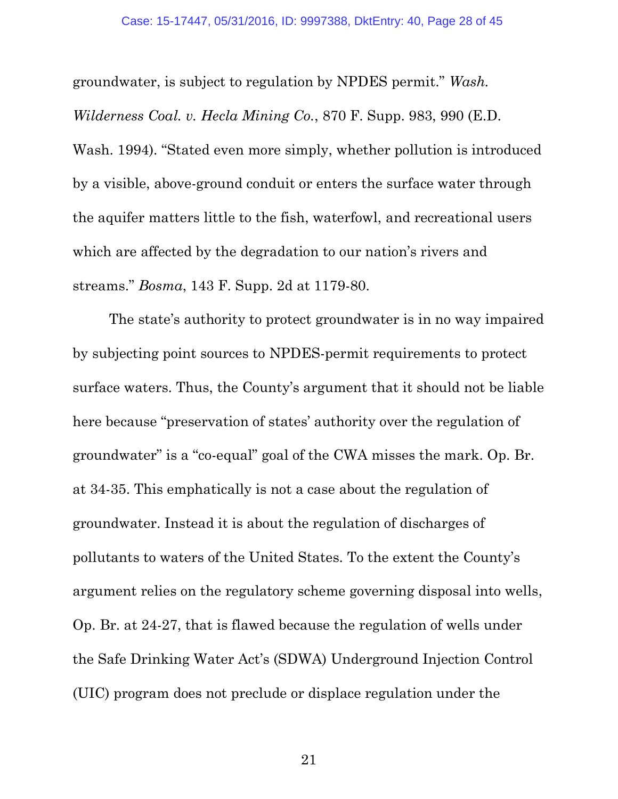<span id="page-27-1"></span>groundwater, is subject to regulation by NPDES permit." *Wash. Wilderness Coal. v. Hecla Mining Co.*, 870 F. Supp. 983, 990 (E.D. Wash. 1994). "Stated even more simply, whether pollution is introduced by a visible, above-ground conduit or enters the surface water through the aquifer matters little to the fish, waterfowl, and recreational users which are affected by the degradation to our nation's rivers and streams." *Bosma*, 143 F. Supp. 2d at 1179-80.

<span id="page-27-0"></span>The state's authority to protect groundwater is in no way impaired by subjecting point sources to NPDES-permit requirements to protect surface waters. Thus, the County's argument that it should not be liable here because "preservation of states' authority over the regulation of groundwater" is a "co-equal" goal of the CWA misses the mark. Op. Br. at 34-35. This emphatically is not a case about the regulation of groundwater. Instead it is about the regulation of discharges of pollutants to waters of the United States. To the extent the County's argument relies on the regulatory scheme governing disposal into wells, Op. Br. at 24-27, that is flawed because the regulation of wells under the Safe Drinking Water Act's (SDWA) Underground Injection Control (UIC) program does not preclude or displace regulation under the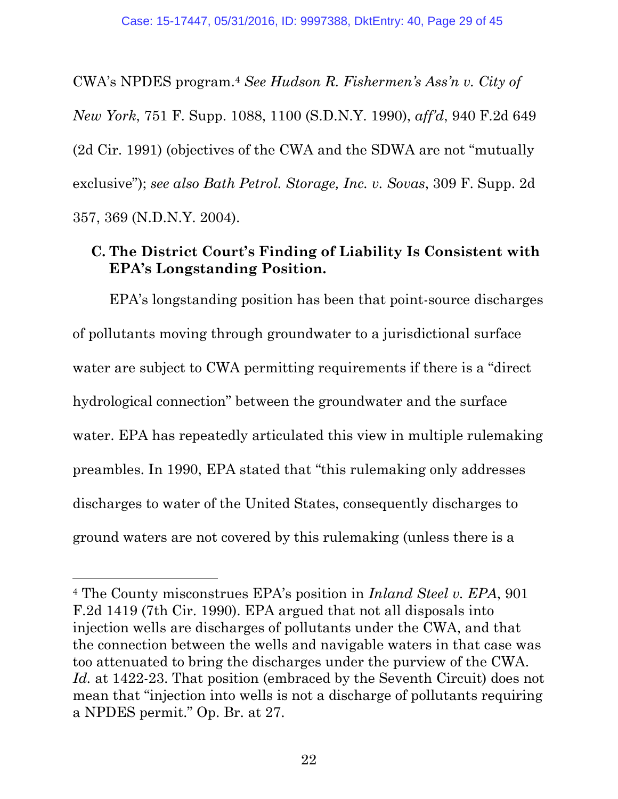<span id="page-28-2"></span>CWA's NPDES program. <sup>4</sup> *See Hudson R. Fishermen's Ass'n v. City of New York*, 751 F. Supp. 1088, 1100 (S.D.N.Y. 1990), *aff'd*, 940 F.2d 649 (2d Cir. 1991) (objectives of the CWA and the SDWA are not "mutually exclusive"); *see also Bath Petrol. Storage, Inc. v. Sovas*, 309 F. Supp. 2d 357, 369 (N.D.N.Y. 2004).

## <span id="page-28-1"></span><span id="page-28-0"></span>**C. The District Court's Finding of Liability Is Consistent with EPA's Longstanding Position.**

EPA's longstanding position has been that point-source discharges of pollutants moving through groundwater to a jurisdictional surface water are subject to CWA permitting requirements if there is a "direct hydrological connection" between the groundwater and the surface water. EPA has repeatedly articulated this view in multiple rulemaking preambles. In 1990, EPA stated that "this rulemaking only addresses discharges to water of the United States, consequently discharges to ground waters are not covered by this rulemaking (unless there is a

<sup>4</sup> The County misconstrues EPA's position in *Inland Steel v. EPA*, 901 F.2d 1419 (7th Cir. 1990). EPA argued that not all disposals into injection wells are discharges of pollutants under the CWA, and that the connection between the wells and navigable waters in that case was too attenuated to bring the discharges under the purview of the CWA. Id. at 1422-23. That position (embraced by the Seventh Circuit) does not mean that "injection into wells is not a discharge of pollutants requiring a NPDES permit." Op. Br. at 27.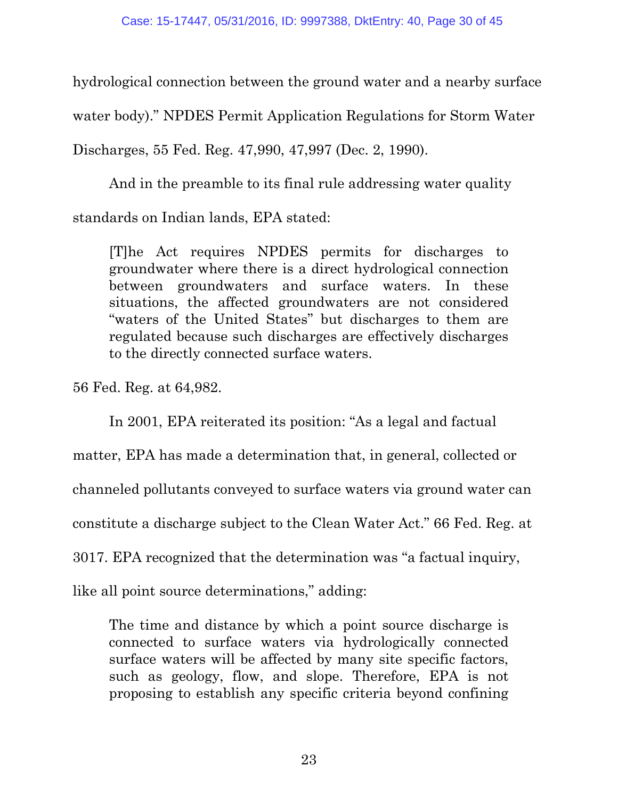hydrological connection between the ground water and a nearby surface water body)." NPDES Permit Application Regulations for Storm Water Discharges, 55 Fed. Reg. 47,990, 47,997 (Dec. 2, 1990).

<span id="page-29-0"></span>And in the preamble to its final rule addressing water quality standards on Indian lands, EPA stated:

[T]he Act requires NPDES permits for discharges to groundwater where there is a direct hydrological connection between groundwaters and surface waters. In these situations, the affected groundwaters are not considered "waters of the United States" but discharges to them are regulated because such discharges are effectively discharges to the directly connected surface waters.

<span id="page-29-1"></span>56 Fed. Reg. at 64,982.

In 2001, EPA reiterated its position: "As a legal and factual matter, EPA has made a determination that, in general, collected or channeled pollutants conveyed to surface waters via ground water can constitute a discharge subject to the Clean Water Act." 66 Fed. Reg. at 3017. EPA recognized that the determination was "a factual inquiry, like all point source determinations," adding:

<span id="page-29-2"></span>The time and distance by which a point source discharge is connected to surface waters via hydrologically connected surface waters will be affected by many site specific factors, such as geology, flow, and slope. Therefore, EPA is not proposing to establish any specific criteria beyond confining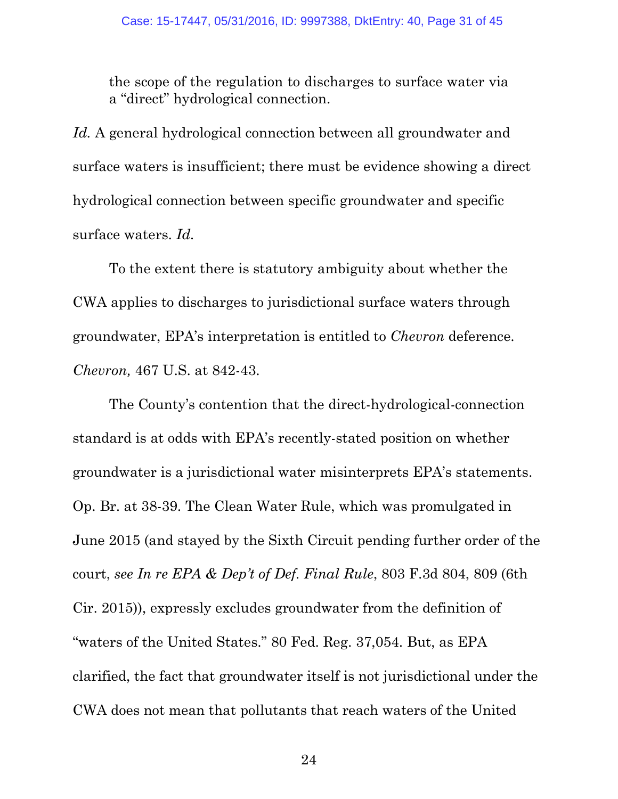the scope of the regulation to discharges to surface water via a "direct" hydrological connection.

<span id="page-30-1"></span>*Id.* A general hydrological connection between all groundwater and surface waters is insufficient; there must be evidence showing a direct hydrological connection between specific groundwater and specific surface waters. *Id.*

To the extent there is statutory ambiguity about whether the CWA applies to discharges to jurisdictional surface waters through groundwater, EPA's interpretation is entitled to *Chevron* deference. *Chevron,* 467 U.S. at 842-43.

<span id="page-30-0"></span>The County's contention that the direct-hydrological-connection standard is at odds with EPA's recently-stated position on whether groundwater is a jurisdictional water misinterprets EPA's statements. Op. Br. at 38-39. The Clean Water Rule, which was promulgated in June 2015 (and stayed by the Sixth Circuit pending further order of the court, *see In re EPA & Dep't of Def. Final Rule*, 803 F.3d 804, 809 (6th Cir. 2015)), expressly excludes groundwater from the definition of "waters of the United States." 80 Fed. Reg. 37,054. But, as EPA clarified, the fact that groundwater itself is not jurisdictional under the CWA does not mean that pollutants that reach waters of the United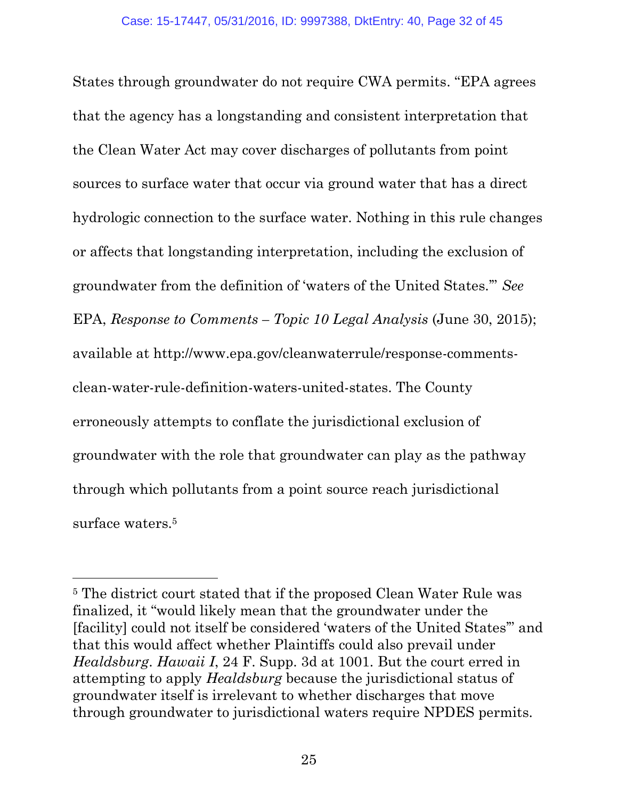States through groundwater do not require CWA permits. "EPA agrees that the agency has a longstanding and consistent interpretation that the Clean Water Act may cover discharges of pollutants from point sources to surface water that occur via ground water that has a direct hydrologic connection to the surface water. Nothing in this rule changes or affects that longstanding interpretation, including the exclusion of groundwater from the definition of 'waters of the United States.'" *See*  EPA, *Response to Comments – Topic 10 Legal Analysis* (June 30, 2015); available at [http://www.epa.gov/cleanwaterrule/response-comments](http://www.epa.gov/cleanwaterrule/response-comments-clean-water-rule-definition-waters-united-states)[clean-water-rule-definition-waters-united-states.](http://www.epa.gov/cleanwaterrule/response-comments-clean-water-rule-definition-waters-united-states) The County erroneously attempts to conflate the jurisdictional exclusion of groundwater with the role that groundwater can play as the pathway through which pollutants from a point source reach jurisdictional surface waters.<sup>5</sup>

<sup>5</sup> The district court stated that if the proposed Clean Water Rule was finalized, it "would likely mean that the groundwater under the [facility] could not itself be considered 'waters of the United States'" and that this would affect whether Plaintiffs could also prevail under *Healdsburg*. *Hawaii I*, 24 F. Supp. 3d at 1001. But the court erred in attempting to apply *Healdsburg* because the jurisdictional status of groundwater itself is irrelevant to whether discharges that move through groundwater to jurisdictional waters require NPDES permits.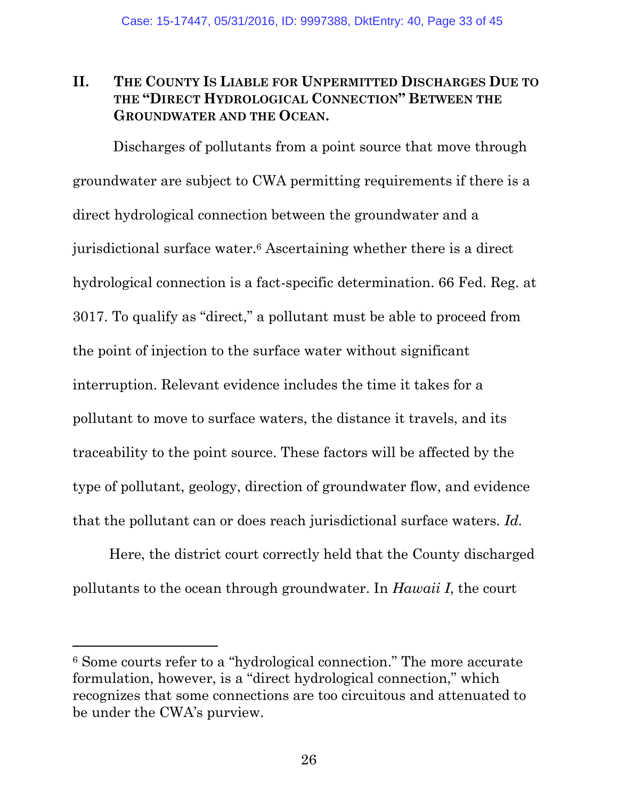# <span id="page-32-0"></span>**II. THE COUNTY IS LIABLE FOR UNPERMITTED DISCHARGES DUE TO THE "DIRECT HYDROLOGICAL CONNECTION" BETWEEN THE GROUNDWATER AND THE OCEAN.**

<span id="page-32-1"></span>Discharges of pollutants from a point source that move through groundwater are subject to CWA permitting requirements if there is a direct hydrological connection between the groundwater and a jurisdictional surface water.<sup>6</sup> Ascertaining whether there is a direct hydrological connection is a fact-specific determination. 66 Fed. Reg. at 3017. To qualify as "direct," a pollutant must be able to proceed from the point of injection to the surface water without significant interruption. Relevant evidence includes the time it takes for a pollutant to move to surface waters, the distance it travels, and its traceability to the point source. These factors will be affected by the type of pollutant, geology, direction of groundwater flow, and evidence that the pollutant can or does reach jurisdictional surface waters. *Id.*

Here, the district court correctly held that the County discharged pollutants to the ocean through groundwater. In *Hawaii I*, the court

l

<sup>6</sup> Some courts refer to a "hydrological connection." The more accurate formulation, however, is a "direct hydrological connection," which recognizes that some connections are too circuitous and attenuated to be under the CWA's purview.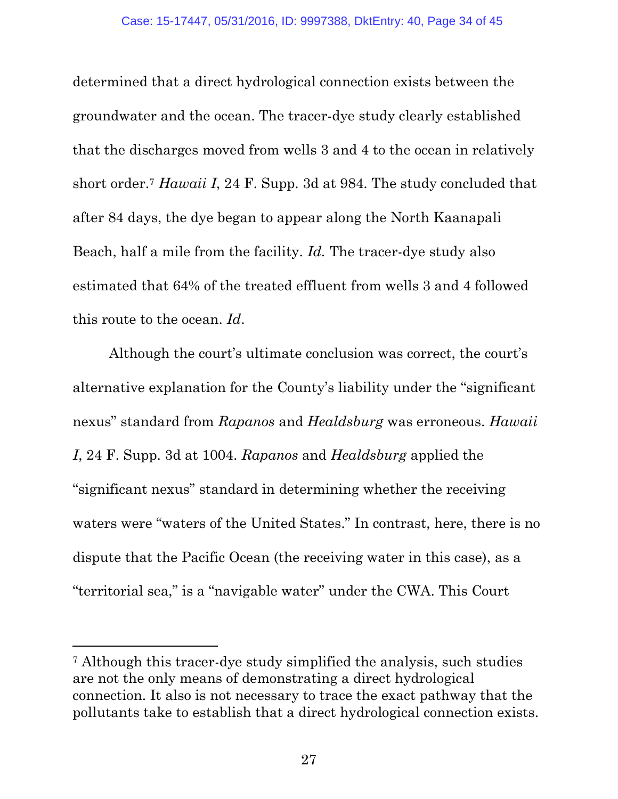determined that a direct hydrological connection exists between the groundwater and the ocean. The tracer-dye study clearly established that the discharges moved from wells 3 and 4 to the ocean in relatively short order. <sup>7</sup> *Hawaii I*, 24 F. Supp. 3d at 984. The study concluded that after 84 days, the dye began to appear along the North Kaanapali Beach, half a mile from the facility. *Id.* The tracer-dye study also estimated that 64% of the treated effluent from wells 3 and 4 followed this route to the ocean. *Id*.

Although the court's ultimate conclusion was correct, the court's alternative explanation for the County's liability under the "significant nexus" standard from *Rapanos* and *Healdsburg* was erroneous. *Hawaii I*, 24 F. Supp. 3d at 1004. *Rapanos* and *Healdsburg* applied the "significant nexus" standard in determining whether the receiving waters were "waters of the United States." In contrast, here, there is no dispute that the Pacific Ocean (the receiving water in this case), as a "territorial sea," is a "navigable water" under the CWA. This Court

l

<sup>7</sup> Although this tracer-dye study simplified the analysis, such studies are not the only means of demonstrating a direct hydrological connection. It also is not necessary to trace the exact pathway that the pollutants take to establish that a direct hydrological connection exists.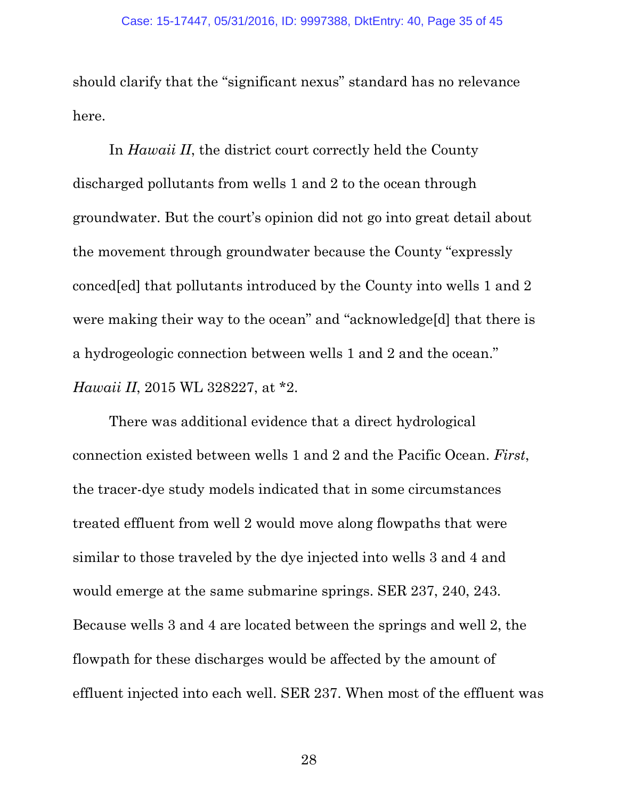should clarify that the "significant nexus" standard has no relevance here.

In *Hawaii II*, the district court correctly held the County discharged pollutants from wells 1 and 2 to the ocean through groundwater. But the court's opinion did not go into great detail about the movement through groundwater because the County "expressly conced[ed] that pollutants introduced by the County into wells 1 and 2 were making their way to the ocean" and "acknowledge[d] that there is a hydrogeologic connection between wells 1 and 2 and the ocean." *Hawaii II*, 2015 WL 328227, at \*2.

There was additional evidence that a direct hydrological connection existed between wells 1 and 2 and the Pacific Ocean. *First*, the tracer-dye study models indicated that in some circumstances treated effluent from well 2 would move along flowpaths that were similar to those traveled by the dye injected into wells 3 and 4 and would emerge at the same submarine springs. SER 237, 240, 243. Because wells 3 and 4 are located between the springs and well 2, the flowpath for these discharges would be affected by the amount of effluent injected into each well. SER 237. When most of the effluent was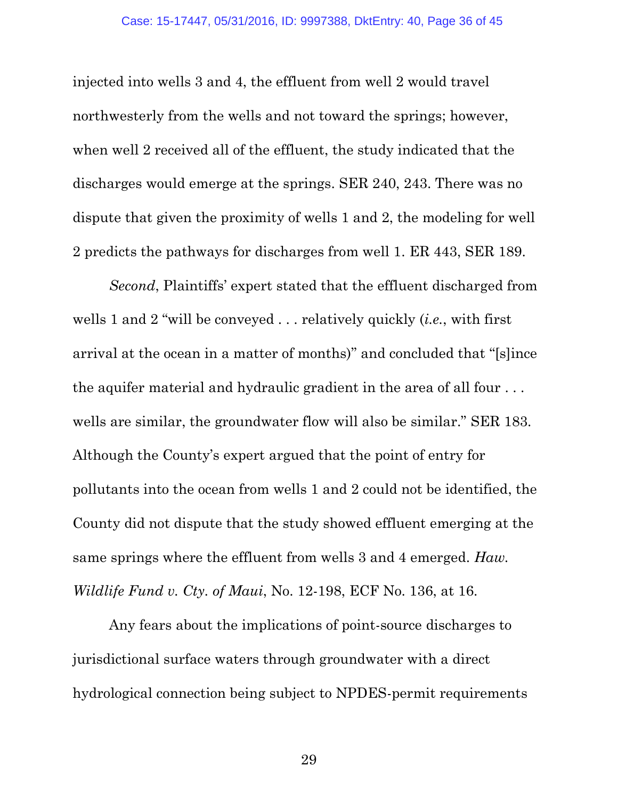injected into wells 3 and 4, the effluent from well 2 would travel northwesterly from the wells and not toward the springs; however, when well 2 received all of the effluent, the study indicated that the discharges would emerge at the springs. SER 240, 243. There was no dispute that given the proximity of wells 1 and 2, the modeling for well 2 predicts the pathways for discharges from well 1. ER 443, SER 189.

*Second*, Plaintiffs' expert stated that the effluent discharged from wells 1 and 2 "will be conveyed . . . relatively quickly (*i.e.*, with first arrival at the ocean in a matter of months)" and concluded that "[s]ince the aquifer material and hydraulic gradient in the area of all four . . . wells are similar, the groundwater flow will also be similar." SER 183. Although the County's expert argued that the point of entry for pollutants into the ocean from wells 1 and 2 could not be identified, the County did not dispute that the study showed effluent emerging at the same springs where the effluent from wells 3 and 4 emerged. *Haw. Wildlife Fund v. Cty. of Maui*, No. 12-198, ECF No. 136, at 16.

Any fears about the implications of point-source discharges to jurisdictional surface waters through groundwater with a direct hydrological connection being subject to NPDES-permit requirements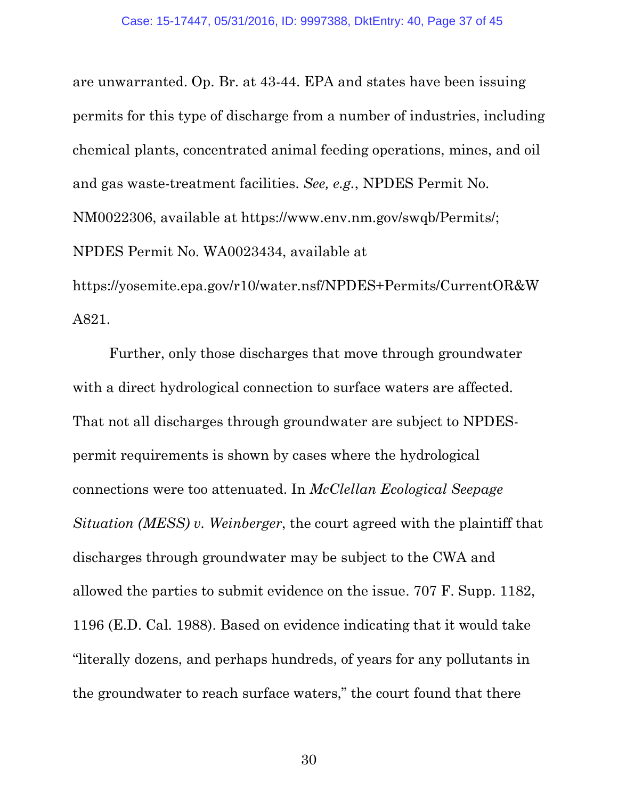are unwarranted. Op. Br. at 43-44. EPA and states have been issuing permits for this type of discharge from a number of industries, including chemical plants, concentrated animal feeding operations, mines, and oil and gas waste-treatment facilities. *See, e.g.*, NPDES Permit No. NM0022306, available at https://www.env.nm.gov/swqb/Permits/; NPDES Permit No. WA0023434, available at https://yosemite.epa.gov/r10/water.nsf/NPDES+Permits/CurrentOR&W

A821.

<span id="page-36-0"></span>Further, only those discharges that move through groundwater with a direct hydrological connection to surface waters are affected. That not all discharges through groundwater are subject to NPDESpermit requirements is shown by cases where the hydrological connections were too attenuated. In *McClellan Ecological Seepage Situation (MESS) v. Weinberger*, the court agreed with the plaintiff that discharges through groundwater may be subject to the CWA and allowed the parties to submit evidence on the issue. 707 F. Supp. 1182, 1196 (E.D. Cal. 1988). Based on evidence indicating that it would take "literally dozens, and perhaps hundreds, of years for any pollutants in the groundwater to reach surface waters," the court found that there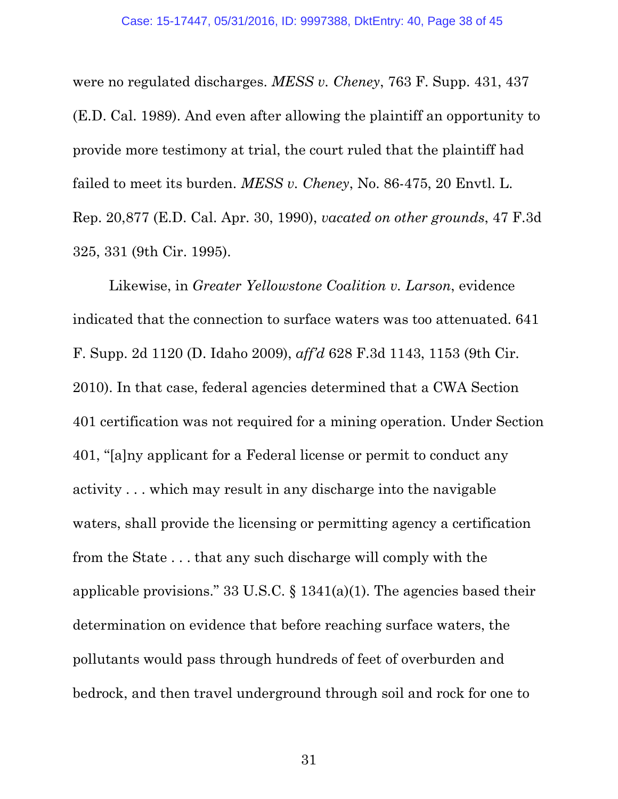<span id="page-37-2"></span><span id="page-37-1"></span>were no regulated discharges. *MESS v. Cheney*, 763 F. Supp. 431, 437 (E.D. Cal. 1989). And even after allowing the plaintiff an opportunity to provide more testimony at trial, the court ruled that the plaintiff had failed to meet its burden. *MESS v. Cheney*, No. 86-475, 20 Envtl. L. Rep. 20,877 (E.D. Cal. Apr. 30, 1990), *vacated on other grounds*, 47 F.3d 325, 331 (9th Cir. 1995).

<span id="page-37-3"></span><span id="page-37-0"></span>Likewise, in *Greater Yellowstone Coalition v. Larson*, evidence indicated that the connection to surface waters was too attenuated. 641 F. Supp. 2d 1120 (D. Idaho 2009), *aff'd* 628 F.3d 1143, 1153 (9th Cir. 2010). In that case, federal agencies determined that a CWA Section 401 certification was not required for a mining operation. Under Section 401, "[a]ny applicant for a Federal license or permit to conduct any activity . . . which may result in any discharge into the navigable waters, shall provide the licensing or permitting agency a certification from the State . . . that any such discharge will comply with the applicable provisions." 33 U.S.C.  $\S$  1341(a)(1). The agencies based their determination on evidence that before reaching surface waters, the pollutants would pass through hundreds of feet of overburden and bedrock, and then travel underground through soil and rock for one to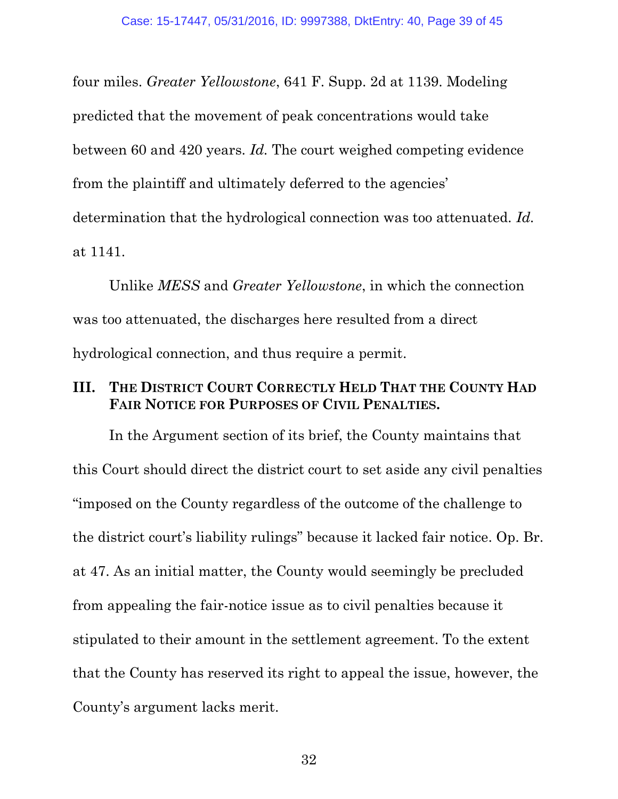<span id="page-38-1"></span>four miles. *Greater Yellowstone*, 641 F. Supp. 2d at 1139. Modeling predicted that the movement of peak concentrations would take between 60 and 420 years. *Id.* The court weighed competing evidence from the plaintiff and ultimately deferred to the agencies' determination that the hydrological connection was too attenuated*. Id.*  at 1141.

Unlike *MESS* and *Greater Yellowstone*, in which the connection was too attenuated, the discharges here resulted from a direct hydrological connection, and thus require a permit.

### <span id="page-38-0"></span>**III. THE DISTRICT COURT CORRECTLY HELD THAT THE COUNTY HAD FAIR NOTICE FOR PURPOSES OF CIVIL PENALTIES.**

In the Argument section of its brief, the County maintains that this Court should direct the district court to set aside any civil penalties "imposed on the County regardless of the outcome of the challenge to the district court's liability rulings" because it lacked fair notice. Op. Br. at 47. As an initial matter, the County would seemingly be precluded from appealing the fair-notice issue as to civil penalties because it stipulated to their amount in the settlement agreement. To the extent that the County has reserved its right to appeal the issue, however, the County's argument lacks merit.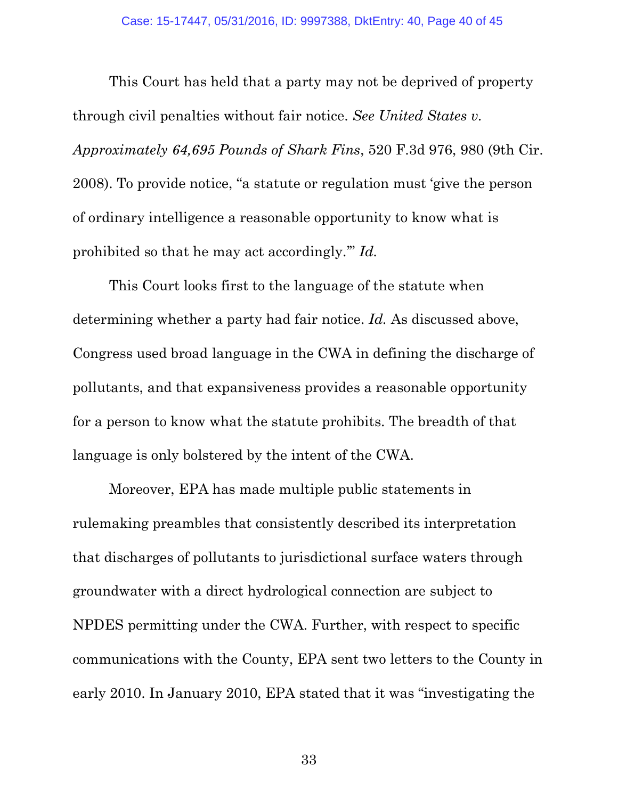<span id="page-39-0"></span>This Court has held that a party may not be deprived of property through civil penalties without fair notice. *See United States v. Approximately 64,695 Pounds of Shark Fins*, 520 F.3d 976, 980 (9th Cir. 2008). To provide notice, "a statute or regulation must 'give the person of ordinary intelligence a reasonable opportunity to know what is prohibited so that he may act accordingly.'" *Id.* 

This Court looks first to the language of the statute when determining whether a party had fair notice. *Id.* As discussed above, Congress used broad language in the CWA in defining the discharge of pollutants, and that expansiveness provides a reasonable opportunity for a person to know what the statute prohibits. The breadth of that language is only bolstered by the intent of the CWA.

Moreover, EPA has made multiple public statements in rulemaking preambles that consistently described its interpretation that discharges of pollutants to jurisdictional surface waters through groundwater with a direct hydrological connection are subject to NPDES permitting under the CWA. Further, with respect to specific communications with the County, EPA sent two letters to the County in early 2010. In January 2010, EPA stated that it was "investigating the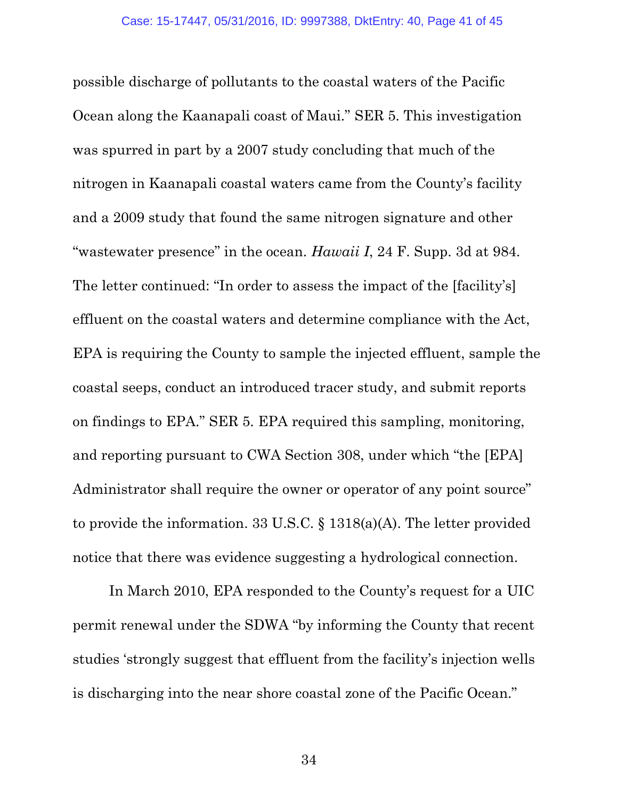possible discharge of pollutants to the coastal waters of the Pacific Ocean along the Kaanapali coast of Maui." SER 5. This investigation was spurred in part by a 2007 study concluding that much of the nitrogen in Kaanapali coastal waters came from the County's facility and a 2009 study that found the same nitrogen signature and other "wastewater presence" in the ocean. *Hawaii I*, 24 F. Supp. 3d at 984. The letter continued: "In order to assess the impact of the [facility's] effluent on the coastal waters and determine compliance with the Act, EPA is requiring the County to sample the injected effluent, sample the coastal seeps, conduct an introduced tracer study, and submit reports on findings to EPA." SER 5. EPA required this sampling, monitoring, and reporting pursuant to CWA Section 308, under which "the [EPA] Administrator shall require the owner or operator of any point source" to provide the information. 33 U.S.C. § 1318(a)(A). The letter provided notice that there was evidence suggesting a hydrological connection.

<span id="page-40-0"></span>In March 2010, EPA responded to the County's request for a UIC permit renewal under the SDWA "by informing the County that recent studies 'strongly suggest that effluent from the facility's injection wells is discharging into the near shore coastal zone of the Pacific Ocean."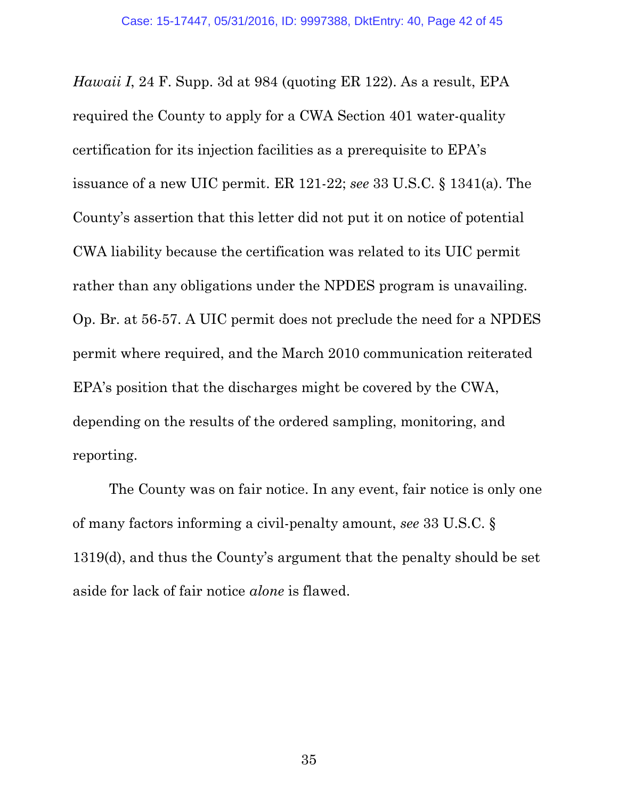<span id="page-41-1"></span>*Hawaii I*, 24 F. Supp. 3d at 984 (quoting ER 122). As a result, EPA required the County to apply for a CWA Section 401 water-quality certification for its injection facilities as a prerequisite to EPA's issuance of a new UIC permit. ER 121-22; *see* 33 U.S.C. § 1341(a). The County's assertion that this letter did not put it on notice of potential CWA liability because the certification was related to its UIC permit rather than any obligations under the NPDES program is unavailing. Op. Br. at 56-57. A UIC permit does not preclude the need for a NPDES permit where required, and the March 2010 communication reiterated EPA's position that the discharges might be covered by the CWA, depending on the results of the ordered sampling, monitoring, and reporting.

<span id="page-41-0"></span>The County was on fair notice. In any event, fair notice is only one of many factors informing a civil-penalty amount, *see* 33 U.S.C. § 1319(d), and thus the County's argument that the penalty should be set aside for lack of fair notice *alone* is flawed.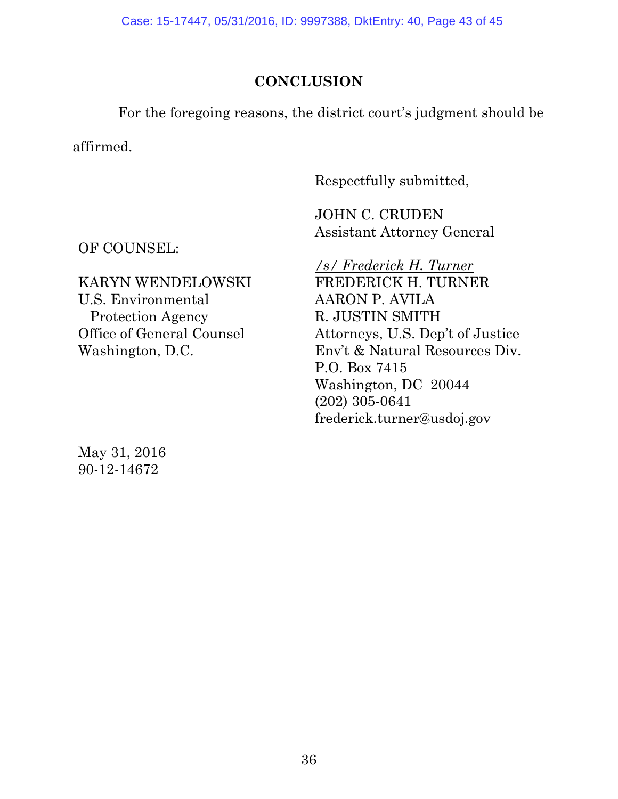Case: 15-17447, 05/31/2016, ID: 9997388, DktEntry: 40, Page 43 of 45

# **CONCLUSION**

For the foregoing reasons, the district court's judgment should be

affirmed.

Respectfully submitted,

JOHN C. CRUDEN Assistant Attorney General

OF COUNSEL:

KARYN WENDELOWSKI U.S. Environmental Protection Agency Office of General Counsel Washington, D.C.

May 31, 2016 90-12-14672

*/s/ Frederick H. Turner* FREDERICK H. TURNER AARON P. AVILA R. JUSTIN SMITH Attorneys, U.S. Dep't of Justice Env't & Natural Resources Div. P.O. Box 7415 Washington, DC 20044 (202) 305-0641 frederick.turner@usdoj.gov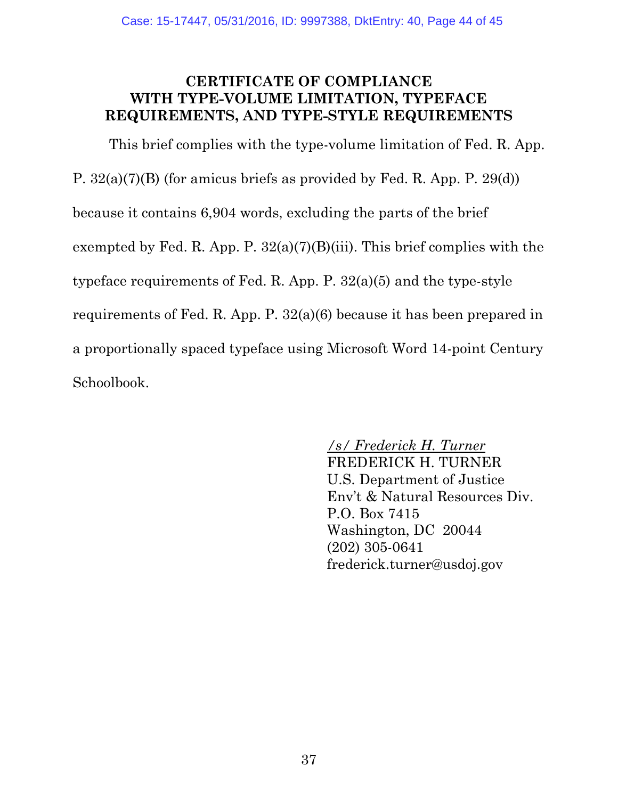### <span id="page-43-0"></span>**CERTIFICATE OF COMPLIANCE WITH TYPE-VOLUME LIMITATION, TYPEFACE REQUIREMENTS, AND TYPE-STYLE REQUIREMENTS**

This brief complies with the type-volume limitation of Fed. R. App. P. 32(a)(7)(B) (for amicus briefs as provided by Fed. R. App. P. 29(d)) because it contains 6,904 words, excluding the parts of the brief exempted by Fed. R. App. P.  $32(a)(7)(B)(iii)$ . This brief complies with the typeface requirements of Fed. R. App. P. 32(a)(5) and the type-style requirements of Fed. R. App. P. 32(a)(6) because it has been prepared in a proportionally spaced typeface using Microsoft Word 14-point Century Schoolbook.

# */s/ Frederick H. Turner*

FREDERICK H. TURNER U.S. Department of Justice Env't & Natural Resources Div. P.O. Box 7415 Washington, DC 20044 (202) 305-0641 frederick.turner@usdoj.gov